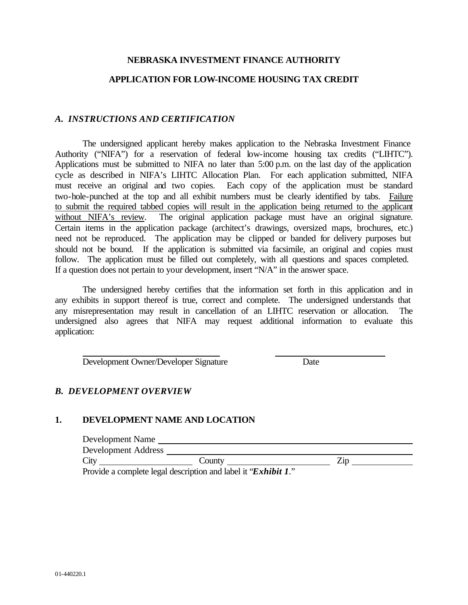### **NEBRASKA INVESTMENT FINANCE AUTHORITY**

### **APPLICATION FOR LOW-INCOME HOUSING TAX CREDIT**

### *A. INSTRUCTIONS AND CERTIFICATION*

The undersigned applicant hereby makes application to the Nebraska Investment Finance Authority ("NIFA") for a reservation of federal low-income housing tax credits ("LIHTC"). Applications must be submitted to NIFA no later than 5:00 p.m. on the last day of the application cycle as described in NIFA's LIHTC Allocation Plan. For each application submitted, NIFA must receive an original and two copies. Each copy of the application must be standard two-hole-punched at the top and all exhibit numbers must be clearly identified by tabs. Failure to submit the required tabbed copies will result in the application being returned to the applicant without NIFA's review. The original application package must have an original signature. Certain items in the application package (architect's drawings, oversized maps, brochures, etc.) need not be reproduced. The application may be clipped or banded for delivery purposes but should not be bound. If the application is submitted via facsimile, an original and copies must follow. The application must be filled out completely, with all questions and spaces completed. If a question does not pertain to your development, insert "N/A" in the answer space.

The undersigned hereby certifies that the information set forth in this application and in any exhibits in support thereof is true, correct and complete. The undersigned understands that any misrepresentation may result in cancellation of an LIHTC reservation or allocation. The undersigned also agrees that NIFA may request additional information to evaluate this application:

Development Owner/Developer Signature Date

# *B. DEVELOPMENT OVERVIEW*

# **1. DEVELOPMENT NAME AND LOCATION**

| Countv | ωı |  |
|--------|----|--|
|        |    |  |

Provide a complete legal description and label it "*Exhibit 1*."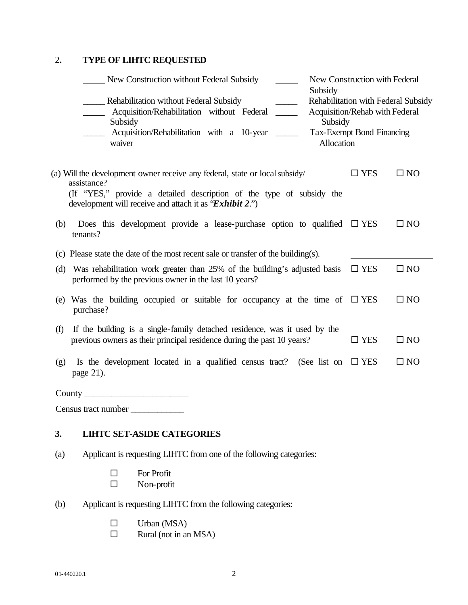# 2**. TYPE OF LIHTC REQUESTED**

| New Construction without Federal Subsidy<br>Subsidy                                                                                                                                                                           | New Construction with Federal                                                                             |              |
|-------------------------------------------------------------------------------------------------------------------------------------------------------------------------------------------------------------------------------|-----------------------------------------------------------------------------------------------------------|--------------|
| Rehabilitation without Federal Subsidy<br>Acquisition/Rehabilitation without Federal<br>Subsidy<br>Subsidy<br>Acquisition/Rehabilitation with a 10-year<br>Allocation<br>waiver                                               | Rehabilitation with Federal Subsidy<br>Acquisition/Rehab with Federal<br><b>Tax-Exempt Bond Financing</b> |              |
| (a) Will the development owner receive any federal, state or local subsidy/<br>assistance?<br>(If "YES," provide a detailed description of the type of subsidy the<br>development will receive and attach it as "Exhibit 2.") | $\square$ YES                                                                                             | $\square$ NO |
| Does this development provide a lease-purchase option to qualified $\square$ YES<br>(b)<br>tenants?                                                                                                                           |                                                                                                           | $\square$ NO |
| (c) Please state the date of the most recent sale or transfer of the building(s).                                                                                                                                             |                                                                                                           |              |
| Was rehabilitation work greater than 25% of the building's adjusted basis<br>(d)<br>performed by the previous owner in the last 10 years?                                                                                     | $\square$ YES                                                                                             | $\square$ NO |
| (e) Was the building occupied or suitable for occupancy at the time of<br>purchase?                                                                                                                                           | $\square$ YES                                                                                             | $\square$ NO |
| If the building is a single-family detached residence, was it used by the<br>(f)<br>previous owners as their principal residence during the past 10 years?                                                                    | $\square$ YES                                                                                             | $\square$ NO |
| Is the development located in a qualified census tract? (See list on<br>(g)<br>page 21).                                                                                                                                      | $\square$ YES                                                                                             | $\square$ NO |
|                                                                                                                                                                                                                               |                                                                                                           |              |
| $C_{\alpha\beta\alpha\gamma\delta}$ to $\alpha$ number                                                                                                                                                                        |                                                                                                           |              |

Census tract number \_\_\_\_\_\_\_\_\_\_\_\_

# **3. LIHTC SET-ASIDE CATEGORIES**

- (a) Applicant is requesting LIHTC from one of the following categories:
	- $\square$  For Profit<br> $\square$  Non-profit
		- Non-profit
- (b) Applicant is requesting LIHTC from the following categories:
	- $\square$  Urban (MSA)
	- $\square$  Rural (not in an MSA)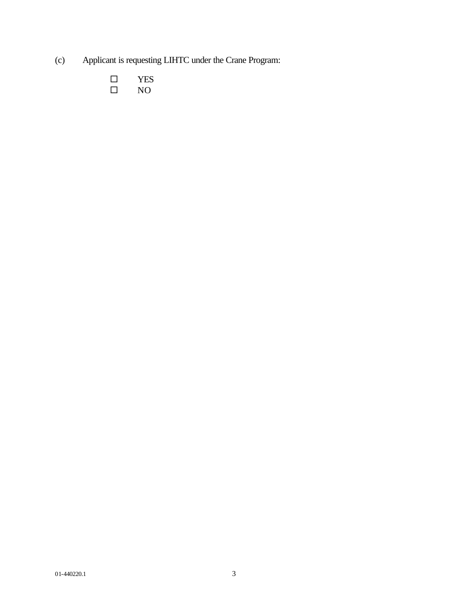- (c) Applicant is requesting LIHTC under the Crane Program:
	- $\begin{tabular}{ll} $\square$ & \tt YES \\ $\square$ & \tt NO \end{tabular}$  $NO$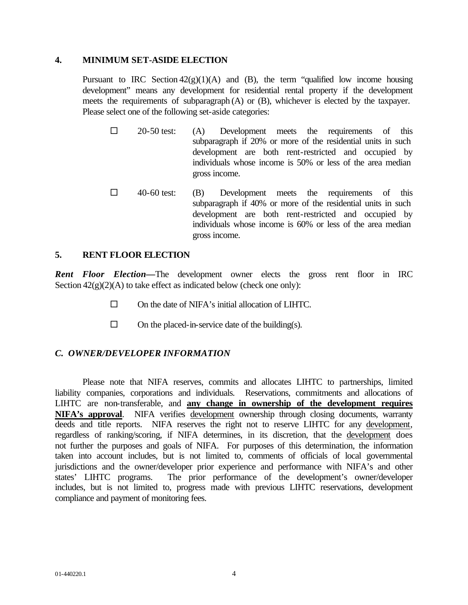### **4. MINIMUM SET-ASIDE ELECTION**

Pursuant to IRC Section  $42(g)(1)(A)$  and (B), the term "qualified low income housing development" means any development for residential rental property if the development meets the requirements of subparagraph (A) or (B), whichever is elected by the taxpayer. Please select one of the following set-aside categories:

- $\square$  20-50 test: (A) Development meets the requirements of this subparagraph if 20% or more of the residential units in such development are both rent-restricted and occupied by individuals whose income is 50% or less of the area median gross income.
- $\Box$  40-60 test: (B) Development meets the requirements of this subparagraph if 40% or more of the residential units in such development are both rent-restricted and occupied by individuals whose income is 60% or less of the area median gross income.

# **5. RENT FLOOR ELECTION**

*Rent Floor Election—*The development owner elects the gross rent floor in IRC Section  $42(g)(2)(A)$  to take effect as indicated below (check one only):

- $\square$  On the date of NIFA's initial allocation of LIHTC.
- $\square$  On the placed-in-service date of the building(s).

# *C. OWNER/DEVELOPER INFORMATION*

Please note that NIFA reserves, commits and allocates LIHTC to partnerships, limited liability companies, corporations and individuals. Reservations, commitments and allocations of LIHTC are non-transferable, and **any change in ownership of the development requires NIFA's approval**. NIFA verifies development ownership through closing documents, warranty deeds and title reports. NIFA reserves the right not to reserve LIHTC for any development, regardless of ranking/scoring, if NIFA determines, in its discretion, that the development does not further the purposes and goals of NIFA. For purposes of this determination, the information taken into account includes, but is not limited to, comments of officials of local governmental jurisdictions and the owner/developer prior experience and performance with NIFA's and other states' LIHTC programs. The prior performance of the development's owner/developer includes, but is not limited to, progress made with previous LIHTC reservations, development compliance and payment of monitoring fees.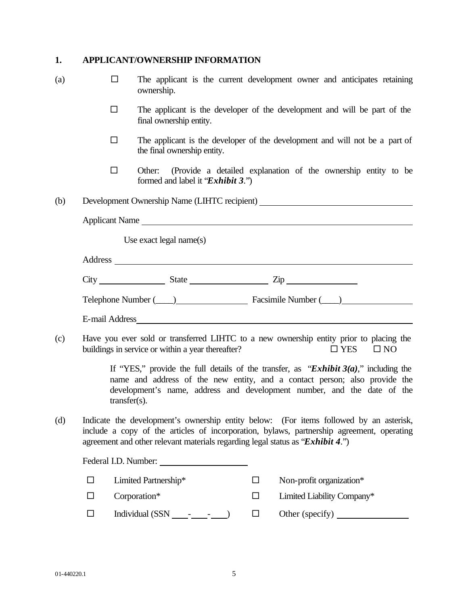# **1. APPLICANT/OWNERSHIP INFORMATION**

| (a) | П      | ownership.                                                                     |        | The applicant is the current development owner and anticipates retaining                                                                                                                                                                         |
|-----|--------|--------------------------------------------------------------------------------|--------|--------------------------------------------------------------------------------------------------------------------------------------------------------------------------------------------------------------------------------------------------|
|     | □      | final ownership entity.                                                        |        | The applicant is the developer of the development and will be part of the                                                                                                                                                                        |
|     | $\Box$ | the final ownership entity.                                                    |        | The applicant is the developer of the development and will not be a part of                                                                                                                                                                      |
|     | □      | Other:<br>formed and label it "Exhibit 3.")                                    |        | (Provide a detailed explanation of the ownership entity to be                                                                                                                                                                                    |
| (b) |        |                                                                                |        | Development Ownership Name (LIHTC recipient) ___________________________________                                                                                                                                                                 |
|     |        | Applicant Name                                                                 |        |                                                                                                                                                                                                                                                  |
|     |        | Use exact legal name $(s)$                                                     |        |                                                                                                                                                                                                                                                  |
|     |        |                                                                                |        |                                                                                                                                                                                                                                                  |
|     |        | $City$ $State$ $Zip$                                                           |        |                                                                                                                                                                                                                                                  |
|     |        |                                                                                |        | Telephone Number (Champion Communication Communication Communication Communication Communication Communication                                                                                                                                   |
|     |        |                                                                                |        |                                                                                                                                                                                                                                                  |
| (c) |        | buildings in service or within a year thereafter?                              |        | Have you ever sold or transferred LIHTC to a new ownership entity prior to placing the<br>$\Box$ YES<br>$\square$ NO                                                                                                                             |
|     |        | $transfer(s)$ .                                                                |        | If "YES," provide the full details of the transfer, as "Exhibit $3(a)$ ," including the<br>name and address of the new entity, and a contact person; also provide the<br>development's name, address and development number, and the date of the |
| (d) |        | agreement and other relevant materials regarding legal status as "Exhibit 4.") |        | Indicate the development's ownership entity below: (For items followed by an asterisk,<br>include a copy of the articles of incorporation, bylaws, partnership agreement, operating                                                              |
|     |        | Federal I.D. Number:                                                           |        |                                                                                                                                                                                                                                                  |
|     | □      | Limited Partnership*                                                           | □      | Non-profit organization*                                                                                                                                                                                                                         |
|     | □      | Corporation*                                                                   | $\Box$ | Limited Liability Company*                                                                                                                                                                                                                       |
|     | □      | Individual $(SSN \_ -- \_ -- \_$                                               | $\Box$ |                                                                                                                                                                                                                                                  |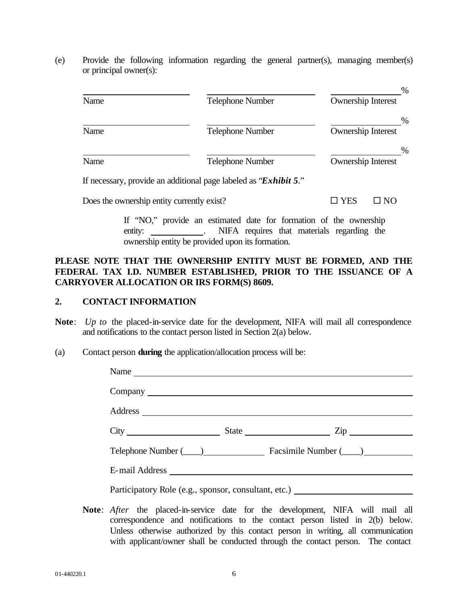(e) Provide the following information regarding the general partner(s), managing member(s) or principal owner(s):

| Name | <b>Telephone Number</b>                                                 | %<br><b>Ownership Interest</b>    |
|------|-------------------------------------------------------------------------|-----------------------------------|
| Name | <b>Telephone Number</b>                                                 | $\%$<br><b>Ownership Interest</b> |
| Name | <b>Telephone Number</b>                                                 | %<br><b>Ownership Interest</b>    |
|      | If necessary provide an additional page labeled as " <b>Exhibit 5</b> " |                                   |

If necessary, provide an additional page labeled as "*Exhibit 5*."

Does the ownership entity currently exist?  $\square$  YES  $\square$  NO

If "NO," provide an estimated date for formation of the ownership entity: NIFA requires that materials regarding the ownership entity be provided upon its formation.

# **PLEASE NOTE THAT THE OWNERSHIP ENTITY MUST BE FORMED, AND THE FEDERAL TAX I.D. NUMBER ESTABLISHED, PRIOR TO THE ISSUANCE OF A CARRYOVER ALLOCATION OR IRS FORM(S) 8609.**

# **2. CONTACT INFORMATION**

- **Note**: *Up to* the placed-in-service date for the development, NIFA will mail all correspondence and notifications to the contact person listed in Section 2(a) below.
- (a) Contact person **during** the application/allocation process will be:

|  | Name                                                                                                           |
|--|----------------------------------------------------------------------------------------------------------------|
|  |                                                                                                                |
|  |                                                                                                                |
|  | $City$ $City$ $State$ $Zip$                                                                                    |
|  | Telephone Number (Champion Communication Communication Communication Communication Communication Communication |
|  |                                                                                                                |
|  | Participatory Role (e.g., sponsor, consultant, etc.) ___________________________                               |

**Note**: *After* the placed-in-service date for the development, NIFA will mail all correspondence and notifications to the contact person listed in 2(b) below. Unless otherwise authorized by this contact person in writing, all communication with applicant/owner shall be conducted through the contact person. The contact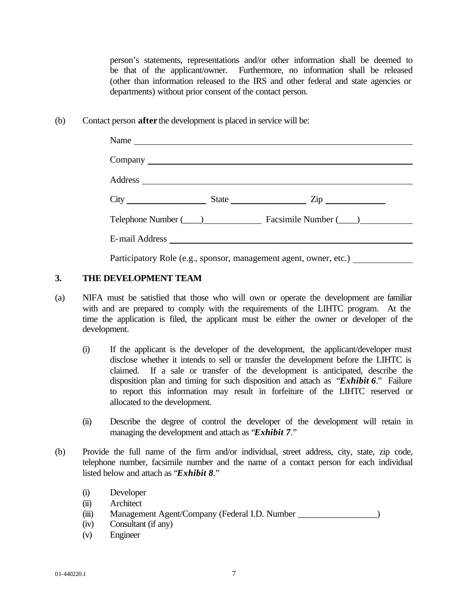person's statements, representations and/or other information shall be deemed to be that of the applicant/owner. Furthermore, no information shall be released (other than information released to the IRS and other federal and state agencies or departments) without prior consent of the contact person.

(b) Contact person **after** the development is placed in service will be:

|                                                                   |  | Name                                                                                                                                                                                                                                 |  |  |  |  |  |  |  |
|-------------------------------------------------------------------|--|--------------------------------------------------------------------------------------------------------------------------------------------------------------------------------------------------------------------------------------|--|--|--|--|--|--|--|
|                                                                   |  |                                                                                                                                                                                                                                      |  |  |  |  |  |  |  |
|                                                                   |  |                                                                                                                                                                                                                                      |  |  |  |  |  |  |  |
|                                                                   |  |                                                                                                                                                                                                                                      |  |  |  |  |  |  |  |
|                                                                   |  | Telephone Number (Championen Laurence Laurence Laurence Laurence Laurence Laurence Laurence Laurence Laurence L                                                                                                                      |  |  |  |  |  |  |  |
|                                                                   |  | E-mail Address <u>and a series of the series of the series of the series of the series of the series of the series of the series of the series of the series of the series of the series of the series of the series of the seri</u> |  |  |  |  |  |  |  |
| Participatory Role (e.g., sponsor, management agent, owner, etc.) |  |                                                                                                                                                                                                                                      |  |  |  |  |  |  |  |

# **3. THE DEVELOPMENT TEAM**

- (a) NIFA must be satisfied that those who will own or operate the development are familiar with and are prepared to comply with the requirements of the LIHTC program. At the time the application is filed, the applicant must be either the owner or developer of the development.
	- (i) If the applicant is the developer of the development, the applicant/developer must disclose whether it intends to sell or transfer the development before the LIHTC is claimed. If a sale or transfer of the development is anticipated, describe the disposition plan and timing for such disposition and attach as "*Exhibit 6*." Failure to report this information may result in forfeiture of the LIHTC reserved or allocated to the development.
	- (ii) Describe the degree of control the developer of the development will retain in managing the development and attach as "*Exhibit 7*."
- (b) Provide the full name of the firm and/or individual, street address, city, state, zip code, telephone number, facsimile number and the name of a contact person for each individual listed below and attach as "*Exhibit 8*."
	- (i) Developer
	- (ii) Architect
	- (iii) Management Agent/Company (Federal I.D. Number  $)$
	- (iv) Consultant (if any)
	- (v) Engineer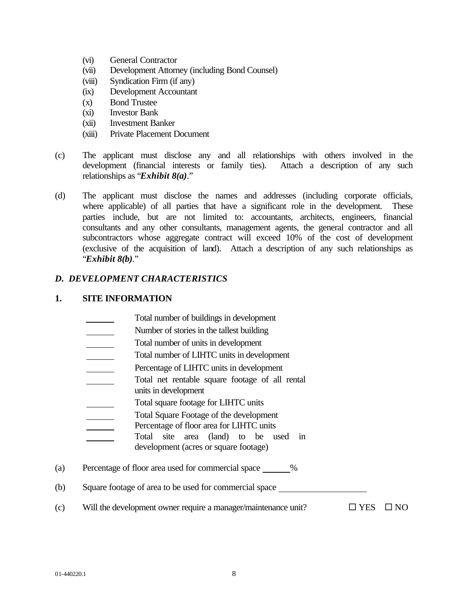- (vi) General Contractor
- (vii) Development Attorney (including Bond Counsel)
- (viii) Syndication Firm (if any)
- (ix) Development Accountant
- (x) Bond Trustee
- (xi) Investor Bank
- (xii) Investment Banker
- (xiii) Private Placement Document
- (c) The applicant must disclose any and all relationships with others involved in the development (financial interests or family ties). Attach a description of any such relationships as "*Exhibit 8(a)*."
- (d) The applicant must disclose the names and addresses (including corporate officials, where applicable) of all parties that have a significant role in the development. These parties include, but are not limited to: accountants, architects, engineers, financial consultants and any other consultants, management agents, the general contractor and all subcontractors whose aggregate contract will exceed 10% of the cost of development (exclusive of the acquisition of land). Attach a description of any such relationships as "*Exhibit 8(b)*."

# *D. DEVELOPMENT CHARACTERISTICS*

# **1. SITE INFORMATION**

- Total number of buildings in development
- Number of stories in the tallest building
- Total number of units in development
- Total number of LIHTC units in development
- Percentage of LIHTC units in development
- Total net rentable square footage of all rental
- units in development
- Total square footage for LIHTC units
- Total Square Footage of the development
- Percentage of floor area for LIHTC units
- Total site area (land) to be used in development (acres or square footage)
- (a) Percentage of floor area used for commercial space %
- (b) Square footage of area to be used for commercial space
- (c) Will the development owner require a manager/maintenance unit?  $\square$  YES  $\square$  NO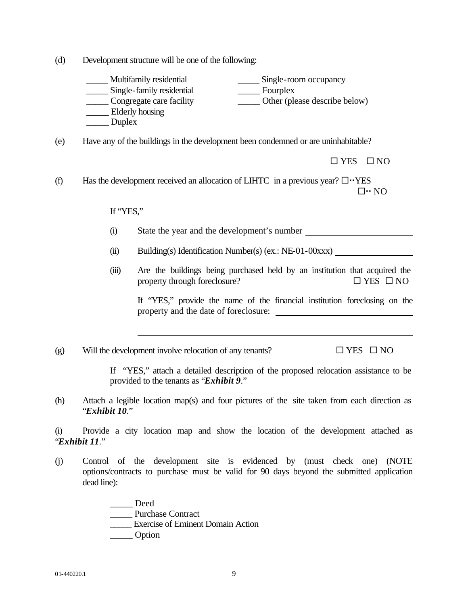(d) Development structure will be one of the following:

| Multifamily residential   | Single-room occupancy         |
|---------------------------|-------------------------------|
| Single-family residential | Fourplex                      |
| Congregate care facility  | Other (please describe below) |
| Elderly housing           |                               |
| Duplex                    |                               |

(e) Have any of the buildings in the development been condemned or are uninhabitable?

 $\Box$  YES  $\Box$  NO

(f) Has the development received an allocation of LIHTC in a previous year?  $\Box \cdot$  YES  $\square \cdot \text{NO}$ 

If "YES,"

- (i) State the year and the development's number
- (ii) Building(s) Identification Number(s) (ex.: NE-01-00xxx)
- (iii) Are the buildings being purchased held by an institution that acquired the property through foreclosure?  $\Box$  YES  $\Box$  NO

If "YES," provide the name of the financial institution foreclosing on the property and the date of foreclosure:

(g) Will the development involve relocation of any tenants?  $\square$  YES  $\square$  NO

If "YES," attach a detailed description of the proposed relocation assistance to be provided to the tenants as "*Exhibit 9*."

(h) Attach a legible location map(s) and four pictures of the site taken from each direction as "*Exhibit 10*."

(i) Provide a city location map and show the location of the development attached as "*Exhibit 11*."

(j) Control of the development site is evidenced by (must check one) (NOTE options/contracts to purchase must be valid for 90 days beyond the submitted application dead line):

> \_\_\_\_\_ Deed \_\_\_\_\_ Purchase Contract \_\_\_\_\_ Exercise of Eminent Domain Action \_\_\_\_\_ Option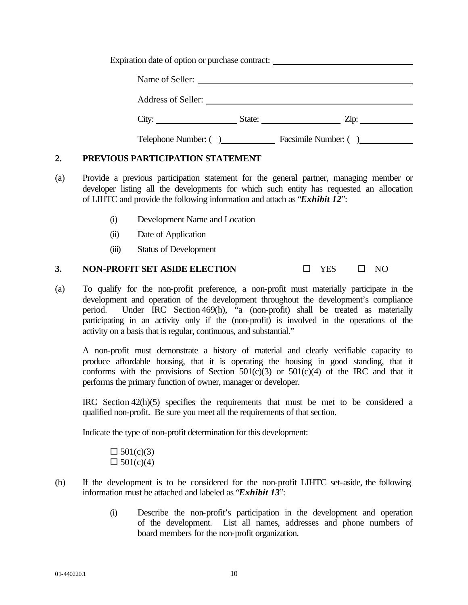Expiration date of option or purchase contract:

| Name of Seller:           |        |                      |
|---------------------------|--------|----------------------|
| <b>Address of Seller:</b> |        |                      |
| City:                     | State: | Zip:                 |
| Telephone Number: ()      |        | Facsimile Number: () |

# **2. PREVIOUS PARTICIPATION STATEMENT**

- (a) Provide a previous participation statement for the general partner, managing member or developer listing all the developments for which such entity has requested an allocation of LIHTC and provide the following information and attach as "*Exhibit 12*":
	- (i) Development Name and Location
	- (ii) Date of Application
	- (iii) Status of Development

# **3. NON-PROFIT SET ASIDE ELECTION**  $\Box$  YES  $\Box$  NO

(a) To qualify for the non-profit preference, a non-profit must materially participate in the development and operation of the development throughout the development's compliance period. Under IRC Section 469(h), "a (non-profit) shall be treated as materially participating in an activity only if the (non-profit) is involved in the operations of the activity on a basis that is regular, continuous, and substantial."

A non-profit must demonstrate a history of material and clearly verifiable capacity to produce affordable housing, that it is operating the housing in good standing, that it conforms with the provisions of Section  $501(c)(3)$  or  $501(c)(4)$  of the IRC and that it performs the primary function of owner, manager or developer.

IRC Section 42(h)(5) specifies the requirements that must be met to be considered a qualified non-profit. Be sure you meet all the requirements of that section.

Indicate the type of non-profit determination for this development:

 $\Box 501(c)(3)$  $\Box 501(c)(4)$ 

- (b) If the development is to be considered for the non-profit LIHTC set-aside, the following information must be attached and labeled as "*Exhibit 13*":
	- (i) Describe the non-profit's participation in the development and operation of the development. List all names, addresses and phone numbers of board members for the non-profit organization.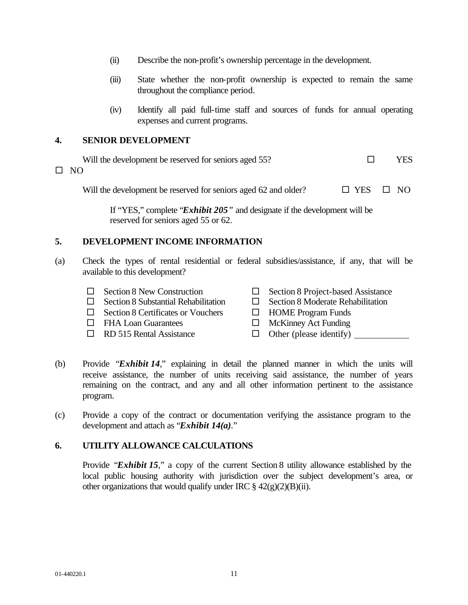- (ii) Describe the non-profit's ownership percentage in the development.
- (iii) State whether the non-profit ownership is expected to remain the same throughout the compliance period.
- (iv) Identify all paid full-time staff and sources of funds for annual operating expenses and current programs.

### **4. SENIOR DEVELOPMENT**

| Will the development be reserved for seniors aged 55? | <b>YES</b> |
|-------------------------------------------------------|------------|
| $\square$ NO                                          |            |
|                                                       |            |

Will the development be reserved for seniors aged 62 and older?  $\Box$  YES  $\Box$  NO

If "YES," complete "*Exhibit 205"* and designate if the development will be reserved for seniors aged 55 or 62.

# **5. DEVELOPMENT INCOME INFORMATION**

- (a) Check the types of rental residential or federal subsidies/assistance, if any, that will be available to this development?
	- $\Box$  Section 8 New Construction  $\Box$  Section 8 Project-based Assistance  $\Box$  Section 8 Substantial Rehabilitation  $\Box$  Section 8 Moderate Rehabilitation  $\Box$  Section 8 Certificates or Vouchers  $\Box$  HOME Program Funds
	- $\Box$  FHA Loan Guarantees  $\Box$  McKinney Act Funding
	- $\Box$  RD 515 Rental Assistance  $\Box$  Other (please identify)  $\Box$
- 
- -
- (b) Provide "*Exhibit 14*," explaining in detail the planned manner in which the units will receive assistance, the number of units receiving said assistance, the number of years remaining on the contract, and any and all other information pertinent to the assistance program.
- (c) Provide a copy of the contract or documentation verifying the assistance program to the development and attach as "*Exhibit 14(a)*."

# **6. UTILITY ALLOWANCE CALCULATIONS**

Provide "*Exhibit 15*," a copy of the current Section 8 utility allowance established by the local public housing authority with jurisdiction over the subject development's area, or other organizations that would qualify under IRC  $\S 42(g)(2)(B)(ii)$ .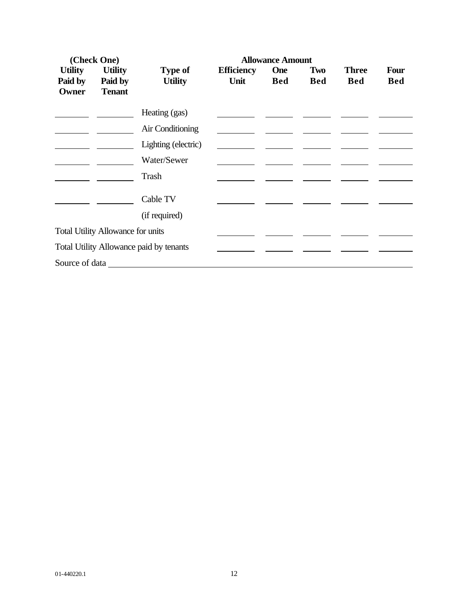| (Check One)                              |                           |                                  | <b>Allowance Amount</b>   |                          |                   |                            |                    |  |  |  |
|------------------------------------------|---------------------------|----------------------------------|---------------------------|--------------------------|-------------------|----------------------------|--------------------|--|--|--|
| <b>Utility</b><br>Paid by                | <b>Utility</b><br>Paid by | <b>Type of</b><br><b>Utility</b> | <b>Efficiency</b><br>Unit | <b>One</b><br><b>Bed</b> | Two<br><b>Bed</b> | <b>Three</b><br><b>Bed</b> | Four<br><b>Bed</b> |  |  |  |
| Owner                                    | <b>Tenant</b>             |                                  |                           |                          |                   |                            |                    |  |  |  |
|                                          |                           | Heating (gas)                    |                           |                          |                   |                            |                    |  |  |  |
|                                          |                           | Air Conditioning                 |                           |                          |                   |                            |                    |  |  |  |
|                                          |                           | Lighting (electric)              |                           |                          |                   |                            |                    |  |  |  |
|                                          |                           | Water/Sewer                      |                           |                          |                   |                            |                    |  |  |  |
|                                          |                           | Trash                            |                           |                          |                   |                            |                    |  |  |  |
|                                          |                           | Cable TV                         |                           |                          |                   |                            |                    |  |  |  |
|                                          |                           | (if required)                    |                           |                          |                   |                            |                    |  |  |  |
| <b>Total Utility Allowance for units</b> |                           |                                  |                           |                          |                   |                            |                    |  |  |  |
| Total Utility Allowance paid by tenants  |                           |                                  |                           |                          |                   |                            |                    |  |  |  |
|                                          |                           |                                  |                           |                          |                   |                            |                    |  |  |  |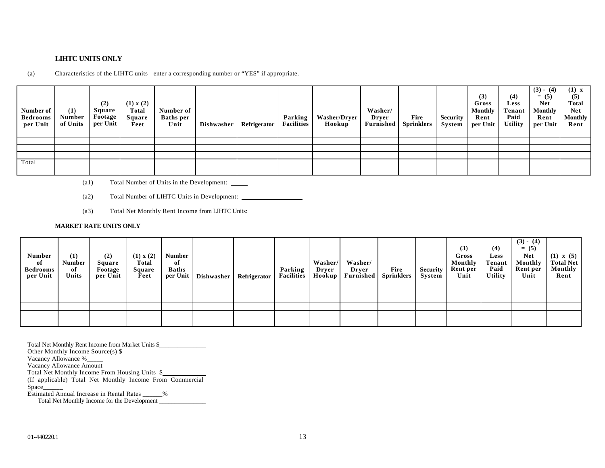#### **LIHTC UNITS ONLY**

(a) Characteristics of the LIHTC units—enter a corresponding number or "YES" if appropriate.

| Number of<br><b>Bedrooms</b><br>per Unit | (1)<br><b>Number</b><br>of Units | (2)<br>Square<br>Footage<br>per Unit | (1) x (2)<br><b>Total</b><br><b>Square</b><br>Feet | Number of<br><b>Baths</b> per<br>Unit | Dishwasher | Refrigerator | Parking<br><b>Facilities</b> | <b>Washer/Dryer</b><br>Hookup | Washer/<br>Dryer<br><b>Furnished</b> | Fire<br><b>Sprinklers</b> | <b>Security</b><br>System | (3)<br>Gross<br><b>Monthly</b><br>Rent<br>per Unit | (4)<br>Less<br><b>Tenant</b><br>Paid<br><b>Utility</b> | $(3) - (4)$<br>$= (5)$<br><b>Net</b><br><b>Monthly</b><br>Rent<br>per Unit | $(1)$ x<br>(5)<br><b>Total</b><br><b>Net</b><br><b>Monthly</b><br>Rent |
|------------------------------------------|----------------------------------|--------------------------------------|----------------------------------------------------|---------------------------------------|------------|--------------|------------------------------|-------------------------------|--------------------------------------|---------------------------|---------------------------|----------------------------------------------------|--------------------------------------------------------|----------------------------------------------------------------------------|------------------------------------------------------------------------|
|                                          |                                  |                                      |                                                    |                                       |            |              |                              |                               |                                      |                           |                           |                                                    |                                                        |                                                                            |                                                                        |
|                                          |                                  |                                      |                                                    |                                       |            |              |                              |                               |                                      |                           |                           |                                                    |                                                        |                                                                            |                                                                        |
|                                          |                                  |                                      |                                                    |                                       |            |              |                              |                               |                                      |                           |                           |                                                    |                                                        |                                                                            |                                                                        |
| Total                                    |                                  |                                      |                                                    |                                       |            |              |                              |                               |                                      |                           |                           |                                                    |                                                        |                                                                            |                                                                        |

- (a1) Total Number of Units in the Development:
- (a2) Total Number of LIHTC Units in Development:
- (a3) Total Net Monthly Rent Income from LIHTC Units:

#### **MARKET RATE UNITS ONLY**

| <b>Number</b><br>of<br><b>Bedrooms</b><br>per Unit | (1)<br><b>Number</b><br>of<br>Units | (2)<br>Square<br>Footage<br>per Unit | (1) x (2)<br>Total<br>Square<br>Feet | <b>Number</b><br>of<br><b>Baths</b><br>per Unit | Dishwasher | Refrigerator | Parking<br><b>Facilities</b> | Washer/<br>Dryer<br>Hookup | Washer/<br>Drver<br>Furnished | Fire<br><b>Sprinklers</b> | <b>Security</b><br>System | (3)<br>Gross<br>Monthly<br>Rent per<br>Unit | (4)<br><b>Less</b><br>Tenant<br>Paid<br><b>Utility</b> | $(3) - (4)$<br>$= (5)$<br><b>Net</b><br>Monthly<br>Rent per<br>Unit | $(1) \times (5)$<br><b>Total Net</b><br>Monthly<br>Rent |
|----------------------------------------------------|-------------------------------------|--------------------------------------|--------------------------------------|-------------------------------------------------|------------|--------------|------------------------------|----------------------------|-------------------------------|---------------------------|---------------------------|---------------------------------------------|--------------------------------------------------------|---------------------------------------------------------------------|---------------------------------------------------------|
|                                                    |                                     |                                      |                                      |                                                 |            |              |                              |                            |                               |                           |                           |                                             |                                                        |                                                                     |                                                         |
|                                                    |                                     |                                      |                                      |                                                 |            |              |                              |                            |                               |                           |                           |                                             |                                                        |                                                                     |                                                         |
|                                                    |                                     |                                      |                                      |                                                 |            |              |                              |                            |                               |                           |                           |                                             |                                                        |                                                                     |                                                         |
|                                                    |                                     |                                      |                                      |                                                 |            |              |                              |                            |                               |                           |                           |                                             |                                                        |                                                                     |                                                         |

Total Net Monthly Rent Income from Market Units \$\_\_\_\_\_\_\_\_\_\_\_\_\_\_\_ Other Monthly Income Source(s) \$\_\_\_\_\_\_\_\_\_\_\_\_\_\_\_\_

Vacancy Allowance %\_\_\_\_\_

Vacancy Allowance Amount

Total Net Monthly Income From Housing Units \$

(If applicable) Total Net Monthly Income From Commercial

Space\_\_\_\_\_\_

Estimated Annual Increase in Rental Rates \_\_\_\_\_\_%

Total Net Monthly Income for the Development \_\_\_\_\_\_\_\_\_\_\_\_\_\_\_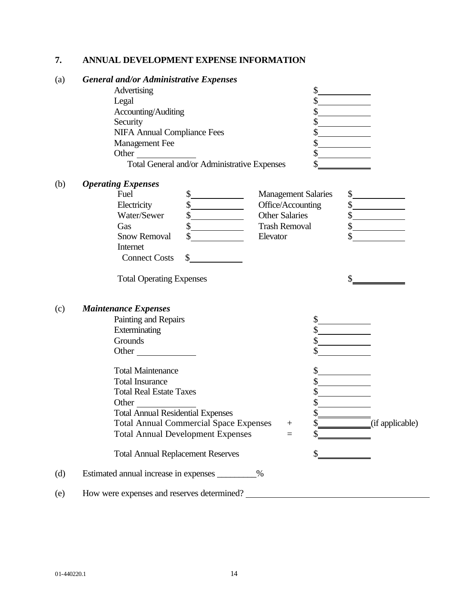# **7. ANNUAL DEVELOPMENT EXPENSE INFORMATION**

| (a) | <b>General and/or Administrative Expenses</b> |  |
|-----|-----------------------------------------------|--|
|-----|-----------------------------------------------|--|

| Advertising                                  |  |
|----------------------------------------------|--|
| Legal                                        |  |
| Accounting/Auditing                          |  |
| Security                                     |  |
| <b>NIFA Annual Compliance Fees</b>           |  |
| Management Fee                               |  |
| Other                                        |  |
| Total General and/or Administrative Expenses |  |

| Fuel                 | <b>Management Salaries</b> |  |
|----------------------|----------------------------|--|
| Electricity          | Office/Accounting          |  |
| Water/Sewer          | <b>Other Salaries</b>      |  |
| Gas                  | <b>Trash Removal</b>       |  |
| <b>Snow Removal</b>  | Elevator                   |  |
| Internet             |                            |  |
| <b>Connect Costs</b> |                            |  |

Total Operating Expenses  $\frac{1}{2}$ 

# (c) *Maintenance Expenses*

(b) *Operating Expenses*

|     | Painting and Repairs                          |        |                 |
|-----|-----------------------------------------------|--------|-----------------|
|     | Exterminating                                 |        |                 |
|     | Grounds                                       |        |                 |
|     | Other                                         |        |                 |
|     | <b>Total Maintenance</b>                      |        |                 |
|     | <b>Total Insurance</b>                        |        |                 |
|     | <b>Total Real Estate Taxes</b>                |        |                 |
|     | Other                                         |        |                 |
|     | <b>Total Annual Residential Expenses</b>      |        |                 |
|     | <b>Total Annual Commercial Space Expenses</b> | $^{+}$ | (if applicable) |
|     | <b>Total Annual Development Expenses</b>      | $=$    |                 |
|     | <b>Total Annual Replacement Reserves</b>      |        |                 |
| (d) | Estimated annual increase in expenses<br>$\%$ |        |                 |
|     |                                               |        |                 |

(e) How were expenses and reserves determined?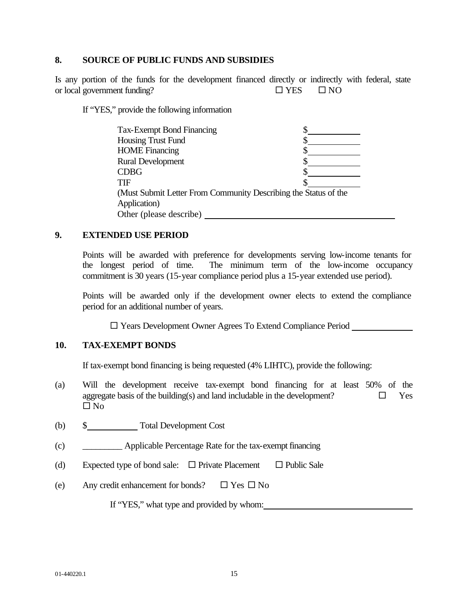### **8. SOURCE OF PUBLIC FUNDS AND SUBSIDIES**

Is any portion of the funds for the development financed directly or indirectly with federal, state or local government funding?  $\square$  YES  $\square$  NO

If "YES," provide the following information

| <b>Tax-Exempt Bond Financing</b>                                |  |
|-----------------------------------------------------------------|--|
| <b>Housing Trust Fund</b>                                       |  |
| <b>HOME</b> Financing                                           |  |
| <b>Rural Development</b>                                        |  |
| <b>CDBG</b>                                                     |  |
| <b>TIF</b>                                                      |  |
| (Must Submit Letter From Community Describing the Status of the |  |
| Application)                                                    |  |
| Other (please describe)                                         |  |

### **9. EXTENDED USE PERIOD**

Points will be awarded with preference for developments serving low-income tenants for the longest period of time. The minimum term of the low-income occupancy commitment is 30 years (15-year compliance period plus a 15-year extended use period).

Points will be awarded only if the development owner elects to extend the compliance period for an additional number of years.

□ Years Development Owner Agrees To Extend Compliance Period \_\_\_\_\_\_\_\_\_\_\_\_\_\_\_\_\_\_\_

# **10. TAX-EXEMPT BONDS**

If tax-exempt bond financing is being requested (4% LIHTC), provide the following:

- (a) Will the development receive tax-exempt bond financing for at least 50% of the aggregate basis of the building(s) and land includable in the development?  $\Box$  Yes  $\square$  No
- (b) \$ Total Development Cost
- (c) \_\_\_\_\_\_\_\_\_ Applicable Percentage Rate for the tax-exempt financing
- (d) Expected type of bond sale:  $\Box$  Private Placement  $\Box$  Public Sale
- (e) Any credit enhancement for bonds?  $\Box$  Yes  $\Box$  No

If "YES," what type and provided by whom: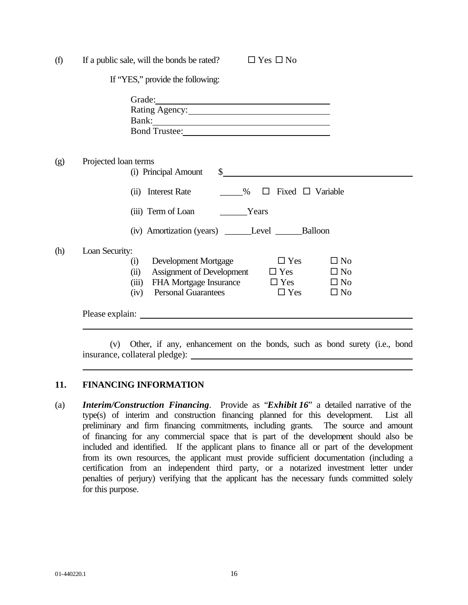| (f) | If a public sale, will the bonds be rated?<br>$\Box$ Yes $\Box$ No                                                                                                                                                                                                      |
|-----|-------------------------------------------------------------------------------------------------------------------------------------------------------------------------------------------------------------------------------------------------------------------------|
|     | If "YES," provide the following:                                                                                                                                                                                                                                        |
|     | Bank: North Commission of the Commission of the Commission of the Commission of the Commission of the Commission of the Commission of the Commission of the Commission of the Commission of the Commission of the Commission o                                          |
| (g) | Projected loan terms<br>$\sim$<br>(i) Principal Amount                                                                                                                                                                                                                  |
|     | (ii) Interest Rate<br>$\%$ $\Box$ Fixed $\Box$ Variable                                                                                                                                                                                                                 |
|     | (iii) Term of Loan Years                                                                                                                                                                                                                                                |
|     | (iv) Amortization (years) ______Level ________Balloon                                                                                                                                                                                                                   |
| (h) | Loan Security:<br>Development Mortgage<br>$\Box$ Yes<br>$\square$ No<br>(i)<br>Assignment of Development $\square$ Yes<br>$\Box$ No<br>(ii)<br>FHA Mortgage Insurance $\Box$ Yes $\Box$ No<br>(iii)<br><b>Personal Guarantees</b><br>$\Box$ Yes<br>$\square$ No<br>(iv) |
|     |                                                                                                                                                                                                                                                                         |

(v) Other, if any, enhancement on the bonds, such as bond surety (i.e., bond insurance, collateral pledge):

# **11. FINANCING INFORMATION**

(a) *Interim/Construction Financing*. Provide as "*Exhibit 16*" a detailed narrative of the type(s) of interim and construction financing planned for this development. List all preliminary and firm financing commitments, including grants. The source and amount of financing for any commercial space that is part of the development should also be included and identified. If the applicant plans to finance all or part of the development from its own resources, the applicant must provide sufficient documentation (including a certification from an independent third party, or a notarized investment letter under penalties of perjury) verifying that the applicant has the necessary funds committed solely for this purpose.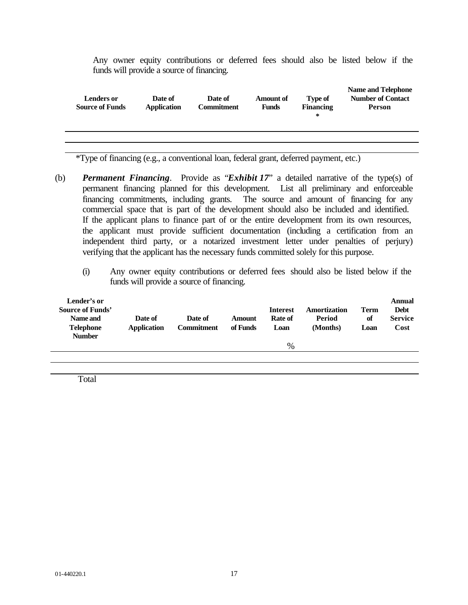Any owner equity contributions or deferred fees should also be listed below if the funds will provide a source of financing.

| <b>Lenders or</b><br><b>Source of Funds</b> | Date of<br><b>Application</b> | Date of<br><b>Commitment</b> | <b>Amount of</b><br><b>Funds</b> | <b>Type of</b><br><b>Financing</b><br>∗ | <b>Name and Telephone</b><br><b>Number of Contact</b><br><b>Person</b> |
|---------------------------------------------|-------------------------------|------------------------------|----------------------------------|-----------------------------------------|------------------------------------------------------------------------|
|                                             |                               |                              |                                  |                                         |                                                                        |
|                                             |                               |                              |                                  |                                         |                                                                        |

\*Type of financing (e.g., a conventional loan, federal grant, deferred payment, etc.)

- (b) *Permanent Financing*. Provide as "*Exhibit 17*" a detailed narrative of the type(s) of permanent financing planned for this development. List all preliminary and enforceable financing commitments, including grants. The source and amount of financing for any commercial space that is part of the development should also be included and identified. If the applicant plans to finance part of or the entire development from its own resources, the applicant must provide sufficient documentation (including a certification from an independent third party, or a notarized investment letter under penalties of perjury) verifying that the applicant has the necessary funds committed solely for this purpose.
	- (i) Any owner equity contributions or deferred fees should also be listed below if the funds will provide a source of financing.

| Lender's or<br><b>Source of Funds'</b><br>Name and<br><b>Telephone</b><br><b>Number</b> | Date of<br><b>Application</b> | Date of<br><b>Commitment</b> | Amount<br>of Funds | <b>Interest</b><br>Rate of<br>Loan | Amortization<br>Period<br>(Months) | <b>Term</b><br>of<br>Loan | Annual<br><b>Debt</b><br><b>Service</b><br>Cost |
|-----------------------------------------------------------------------------------------|-------------------------------|------------------------------|--------------------|------------------------------------|------------------------------------|---------------------------|-------------------------------------------------|
|                                                                                         |                               |                              |                    | %                                  |                                    |                           |                                                 |
|                                                                                         |                               |                              |                    |                                    |                                    |                           |                                                 |

Total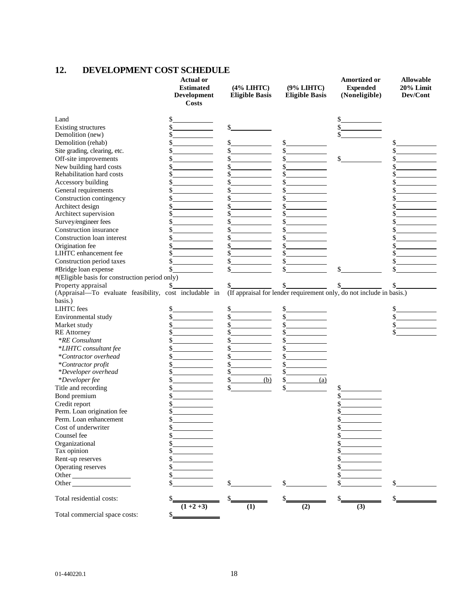# **12. DEVELOPMENT COST SCHEDULE**

|                                                | <b>Actual or</b><br><b>Estimated</b><br>Development<br><b>Costs</b> | (4% LIHTC)<br><b>Eligible Basis</b> | (9% LIHTC)<br><b>Eligible Basis</b> | Amortized or<br><b>Expended</b><br>(Noneligible)                     | <b>Allowable</b><br>20% Limit<br>Dev/Cont |
|------------------------------------------------|---------------------------------------------------------------------|-------------------------------------|-------------------------------------|----------------------------------------------------------------------|-------------------------------------------|
| Land                                           |                                                                     |                                     |                                     |                                                                      |                                           |
| <b>Existing structures</b>                     | \$                                                                  | \$                                  |                                     |                                                                      |                                           |
| Demolition (new)                               | \$                                                                  |                                     |                                     |                                                                      |                                           |
| Demolition (rehab)                             |                                                                     |                                     | \$                                  |                                                                      | \$                                        |
| Site grading, clearing, etc.                   |                                                                     |                                     | \$                                  |                                                                      |                                           |
| Off-site improvements                          | \$                                                                  |                                     | \$                                  |                                                                      | \$                                        |
| New building hard costs                        | \$                                                                  |                                     | \$                                  |                                                                      | \$                                        |
| Rehabilitation hard costs                      | \$                                                                  |                                     | \$                                  |                                                                      |                                           |
| Accessory building                             | \$                                                                  |                                     | \$                                  |                                                                      |                                           |
| General requirements                           | \$                                                                  |                                     | \$                                  |                                                                      | \$                                        |
| Construction contingency                       |                                                                     |                                     | \$                                  |                                                                      |                                           |
| Architect design                               |                                                                     |                                     | \$                                  |                                                                      |                                           |
| Architect supervision                          | \$                                                                  |                                     | \$                                  |                                                                      |                                           |
| Survey/engineer fees                           | \$                                                                  | \$                                  | \$                                  |                                                                      | \$                                        |
| Construction insurance                         |                                                                     |                                     | \$.                                 |                                                                      |                                           |
| Construction loan interest                     |                                                                     |                                     | \$                                  |                                                                      |                                           |
| Origination fee                                | \$                                                                  |                                     | \$                                  |                                                                      | \$                                        |
| LIHTC enhancement fee                          |                                                                     |                                     |                                     |                                                                      |                                           |
| Construction period taxes                      | \$                                                                  |                                     | \$                                  |                                                                      | \$                                        |
| #Bridge loan expense                           |                                                                     |                                     |                                     |                                                                      |                                           |
| #(Eligible basis for construction period only) |                                                                     |                                     |                                     |                                                                      |                                           |
| Property appraisal                             | S                                                                   |                                     |                                     |                                                                      |                                           |
|                                                | (Appraisal-To evaluate feasibility, cost includable in              |                                     |                                     | (If appraisal for lender requirement only, do not include in basis.) |                                           |
| basis.)                                        |                                                                     |                                     |                                     |                                                                      |                                           |
| <b>LIHTC</b> fees                              |                                                                     | \$                                  |                                     |                                                                      | \$                                        |
| Environmental study                            |                                                                     |                                     | \$                                  |                                                                      | \$                                        |
| Market study                                   |                                                                     |                                     | \$                                  |                                                                      | \$                                        |
| <b>RE</b> Attorney                             | \$                                                                  |                                     | \$                                  |                                                                      | \$                                        |
| <i>*RE</i> Consultant                          |                                                                     |                                     |                                     |                                                                      |                                           |
| *LIHTC consultant fee                          |                                                                     |                                     | \$                                  |                                                                      |                                           |
| *Contractor overhead                           | \$                                                                  |                                     | \$                                  |                                                                      |                                           |
| *Contractor profit                             | \$                                                                  | \$                                  | \$                                  |                                                                      |                                           |
| *Developer overhead                            |                                                                     | \$                                  | \$                                  |                                                                      |                                           |
| *Developer fee                                 |                                                                     | \$<br>(b)                           | $\mathbb{S}$<br>(a)                 |                                                                      |                                           |
| Title and recording                            | \$                                                                  | \$                                  | \$                                  | \$                                                                   |                                           |
| Bond premium                                   |                                                                     |                                     |                                     |                                                                      |                                           |
| Credit report                                  |                                                                     |                                     |                                     |                                                                      |                                           |
| Perm. Loan origination fee                     |                                                                     |                                     |                                     |                                                                      |                                           |
| Perm. Loan enhancement                         | Φ.                                                                  |                                     |                                     |                                                                      |                                           |
| Cost of underwriter                            |                                                                     |                                     |                                     |                                                                      |                                           |
| Counsel fee                                    |                                                                     |                                     |                                     |                                                                      |                                           |
| Organizational                                 |                                                                     |                                     |                                     |                                                                      |                                           |
| Tax opinion                                    |                                                                     |                                     |                                     |                                                                      |                                           |
| Rent-up reserves                               |                                                                     |                                     |                                     |                                                                      |                                           |
| Operating reserves                             |                                                                     |                                     |                                     |                                                                      |                                           |
| Other                                          | \$                                                                  |                                     |                                     |                                                                      |                                           |
| Other                                          | \$                                                                  | \$                                  |                                     |                                                                      |                                           |
| Total residential costs:                       |                                                                     |                                     |                                     |                                                                      |                                           |
|                                                | $(1+2+3)$                                                           | (1)                                 | (2)                                 | (3)                                                                  |                                           |
| Total commercial space costs:                  | \$_                                                                 |                                     |                                     |                                                                      |                                           |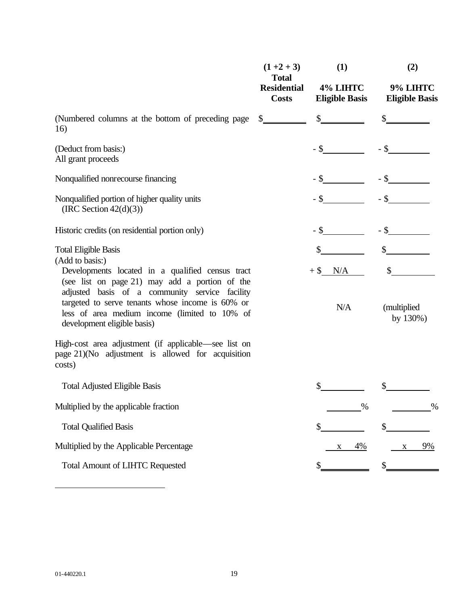|                                                                                                                                                                                    | $(1+2+3)$<br><b>Total</b>          | (1)                               | (2)                               |  |
|------------------------------------------------------------------------------------------------------------------------------------------------------------------------------------|------------------------------------|-----------------------------------|-----------------------------------|--|
|                                                                                                                                                                                    | <b>Residential</b><br><b>Costs</b> | 4% LIHTC<br><b>Eligible Basis</b> | 9% LIHTC<br><b>Eligible Basis</b> |  |
| (Numbered columns at the bottom of preceding page<br>16)                                                                                                                           | $\frac{\S_{\_}}{\S_{\_}}$          | $\mathbb{S}$                      |                                   |  |
| (Deduct from basis:)<br>All grant proceeds                                                                                                                                         |                                    |                                   | $-$ \$                            |  |
| Nonqualified nonrecourse financing                                                                                                                                                 |                                    |                                   | $-$ \$                            |  |
| Nonqualified portion of higher quality units<br>(IRC Section $42(d)(3)$ )                                                                                                          |                                    | - \$                              |                                   |  |
| Historic credits (on residential portion only)                                                                                                                                     |                                    | - \$                              |                                   |  |
| <b>Total Eligible Basis</b><br>(Add to basis:)<br>Developments located in a qualified census tract<br>(see list on page 21) may add a portion of the                               |                                    | $+$ \$ N/A                        |                                   |  |
| adjusted basis of a community service facility<br>targeted to serve tenants whose income is 60% or<br>less of area medium income (limited to 10% of<br>development eligible basis) |                                    | N/A                               | (multiplied)<br>by 130%)          |  |
| High-cost area adjustment (if applicable—see list on<br>page 21)(No adjustment is allowed for acquisition<br>costs)                                                                |                                    |                                   |                                   |  |
| <b>Total Adjusted Eligible Basis</b>                                                                                                                                               |                                    | \$                                |                                   |  |
| Multiplied by the applicable fraction                                                                                                                                              |                                    | %                                 | $\%$                              |  |
| <b>Total Qualified Basis</b>                                                                                                                                                       |                                    | \$                                | \$                                |  |
| Multiplied by the Applicable Percentage                                                                                                                                            |                                    | 4%                                | 9%<br>$\mathbf{X}$                |  |
| <b>Total Amount of LIHTC Requested</b>                                                                                                                                             |                                    |                                   |                                   |  |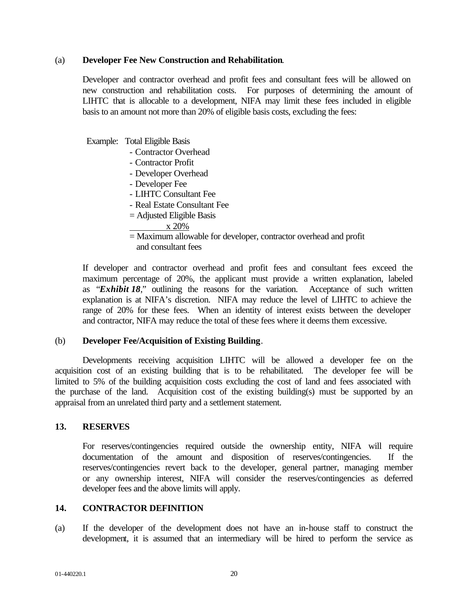### (a) **Developer Fee New Construction and Rehabilitation**.

 Developer and contractor overhead and profit fees and consultant fees will be allowed on new construction and rehabilitation costs. For purposes of determining the amount of LIHTC that is allocable to a development, NIFA may limit these fees included in eligible basis to an amount not more than 20% of eligible basis costs, excluding the fees:

Example: Total Eligible Basis

- Contractor Overhead
- Contractor Profit
- Developer Overhead
- Developer Fee
- LIHTC Consultant Fee
- Real Estate Consultant Fee
- = Adjusted Eligible Basis
	- x 20%
- = Maximum allowable for developer, contractor overhead and profit and consultant fees

If developer and contractor overhead and profit fees and consultant fees exceed the maximum percentage of 20%, the applicant must provide a written explanation, labeled as "*Exhibit 18*," outlining the reasons for the variation. Acceptance of such written explanation is at NIFA's discretion. NIFA may reduce the level of LIHTC to achieve the range of 20% for these fees. When an identity of interest exists between the developer and contractor, NIFA may reduce the total of these fees where it deems them excessive.

# (b) **Developer Fee/Acquisition of Existing Building**.

Developments receiving acquisition LIHTC will be allowed a developer fee on the acquisition cost of an existing building that is to be rehabilitated. The developer fee will be limited to 5% of the building acquisition costs excluding the cost of land and fees associated with the purchase of the land. Acquisition cost of the existing building(s) must be supported by an appraisal from an unrelated third party and a settlement statement.

# **13. RESERVES**

For reserves/contingencies required outside the ownership entity, NIFA will require documentation of the amount and disposition of reserves/contingencies. If the reserves/contingencies revert back to the developer, general partner, managing member or any ownership interest, NIFA will consider the reserves/contingencies as deferred developer fees and the above limits will apply.

### **14. CONTRACTOR DEFINITION**

(a) If the developer of the development does not have an in-house staff to construct the development, it is assumed that an intermediary will be hired to perform the service as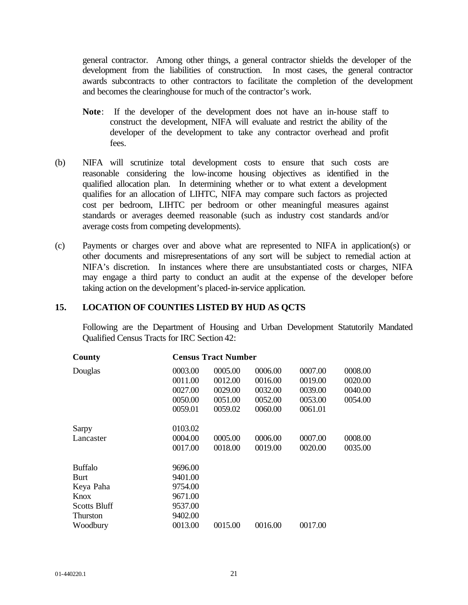general contractor. Among other things, a general contractor shields the developer of the development from the liabilities of construction. In most cases, the general contractor awards subcontracts to other contractors to facilitate the completion of the development and becomes the clearinghouse for much of the contractor's work.

- **Note**: If the developer of the development does not have an in-house staff to construct the development, NIFA will evaluate and restrict the ability of the developer of the development to take any contractor overhead and profit fees.
- (b) NIFA will scrutinize total development costs to ensure that such costs are reasonable considering the low-income housing objectives as identified in the qualified allocation plan. In determining whether or to what extent a development qualifies for an allocation of LIHTC, NIFA may compare such factors as projected cost per bedroom, LIHTC per bedroom or other meaningful measures against standards or averages deemed reasonable (such as industry cost standards and/or average costs from competing developments).
- (c) Payments or charges over and above what are represented to NIFA in application(s) or other documents and misrepresentations of any sort will be subject to remedial action at NIFA's discretion. In instances where there are unsubstantiated costs or charges, NIFA may engage a third party to conduct an audit at the expense of the developer before taking action on the development's placed-in-service application.

### **15. LOCATION OF COUNTIES LISTED BY HUD AS QCTS**

Following are the Department of Housing and Urban Development Statutorily Mandated Qualified Census Tracts for IRC Section 42:

| County              |         | <b>Census Tract Number</b> |         |         |         |
|---------------------|---------|----------------------------|---------|---------|---------|
| Douglas             | 0003.00 | 0005.00                    | 0006.00 | 0007.00 | 0008.00 |
|                     | 0011.00 | 0012.00                    | 0016.00 | 0019.00 | 0020.00 |
|                     | 0027.00 | 0029.00                    | 0032.00 | 0039.00 | 0040.00 |
|                     | 0050.00 | 0051.00                    | 0052.00 | 0053.00 | 0054.00 |
|                     | 0059.01 | 0059.02                    | 0060.00 | 0061.01 |         |
| Sarpy               | 0103.02 |                            |         |         |         |
| Lancaster           | 0004.00 | 0005.00                    | 0006.00 | 0007.00 | 0008.00 |
|                     | 0017.00 | 0018.00                    | 0019.00 | 0020.00 | 0035.00 |
| <b>Buffalo</b>      | 9696.00 |                            |         |         |         |
| <b>Burt</b>         | 9401.00 |                            |         |         |         |
| Keya Paha           | 9754.00 |                            |         |         |         |
| Knox                | 9671.00 |                            |         |         |         |
| <b>Scotts Bluff</b> | 9537.00 |                            |         |         |         |
| <b>Thurston</b>     | 9402.00 |                            |         |         |         |
| Woodbury            | 0013.00 | 0015.00                    | 0016.00 | 0017.00 |         |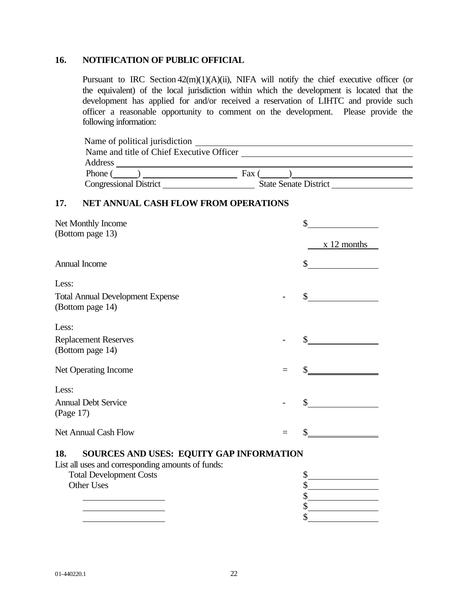# **16. NOTIFICATION OF PUBLIC OFFICIAL**

Pursuant to IRC Section 42(m)(1)(A)(ii), NIFA will notify the chief executive officer (or the equivalent) of the local jurisdiction within which the development is located that the development has applied for and/or received a reservation of LIHTC and provide such officer a reasonable opportunity to comment on the development. Please provide the following information:

| Name of political jurisdiction            |                              |
|-------------------------------------------|------------------------------|
| Name and title of Chief Executive Officer |                              |
| Address                                   |                              |
| Phone                                     | Fax                          |
| <b>Congressional District</b>             | <b>State Senate District</b> |

# **17. NET ANNUAL CASH FLOW FROM OPERATIONS**

| Net Monthly Income<br>(Bottom page 13)                      |     | \$<br>x 12 months |  |  |
|-------------------------------------------------------------|-----|-------------------|--|--|
| Annual Income                                               |     | \$                |  |  |
| Less:                                                       |     |                   |  |  |
| <b>Total Annual Development Expense</b><br>(Bottom page 14) |     | \$                |  |  |
| Less:                                                       |     |                   |  |  |
| <b>Replacement Reserves</b><br>(Bottom page 14)             |     | $\mathbb{S}^-$    |  |  |
| Net Operating Income                                        | $=$ |                   |  |  |
| Less:                                                       |     |                   |  |  |
| <b>Annual Debt Service</b><br>(Page 17)                     |     | \$                |  |  |
| <b>Net Annual Cash Flow</b>                                 |     |                   |  |  |
| SOURCES AND USES: EQUITY GAP INFORMATION<br>18.             |     |                   |  |  |
| List all uses and corresponding amounts of funds:           |     |                   |  |  |
| <b>Total Development Costs</b>                              |     | \$                |  |  |
| Other Uses                                                  |     | \$                |  |  |
|                                                             |     | \$                |  |  |

 $\frac{1}{2}$ 

\$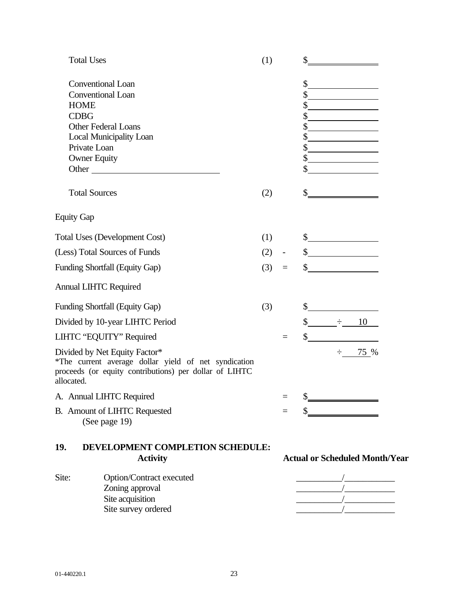|                   | <b>Total Uses</b>                                                                                                                               | (1) |                          | $\frac{\text{S}}{\text{S}}$                                                                                                                                                                                                                                                                                                                                                                                                                                                                                                                                                                                       |
|-------------------|-------------------------------------------------------------------------------------------------------------------------------------------------|-----|--------------------------|-------------------------------------------------------------------------------------------------------------------------------------------------------------------------------------------------------------------------------------------------------------------------------------------------------------------------------------------------------------------------------------------------------------------------------------------------------------------------------------------------------------------------------------------------------------------------------------------------------------------|
|                   | <b>Conventional Loan</b>                                                                                                                        |     |                          | \$                                                                                                                                                                                                                                                                                                                                                                                                                                                                                                                                                                                                                |
|                   | <b>Conventional Loan</b>                                                                                                                        |     |                          | <u> 1989 - Johann Barbara, martin a</u>                                                                                                                                                                                                                                                                                                                                                                                                                                                                                                                                                                           |
|                   | <b>HOME</b>                                                                                                                                     |     |                          | \$<br><u> 1990 - Johann Barbara, martin a</u>                                                                                                                                                                                                                                                                                                                                                                                                                                                                                                                                                                     |
|                   | <b>CDBG</b>                                                                                                                                     |     |                          | \$                                                                                                                                                                                                                                                                                                                                                                                                                                                                                                                                                                                                                |
|                   | Other Federal Loans                                                                                                                             |     |                          | \$<br><u> 1980 - Johann Barbara, martin a</u>                                                                                                                                                                                                                                                                                                                                                                                                                                                                                                                                                                     |
|                   | <b>Local Municipality Loan</b>                                                                                                                  |     |                          | <u> 1989 - Johann Barbara, martxa a</u>                                                                                                                                                                                                                                                                                                                                                                                                                                                                                                                                                                           |
|                   | Private Loan                                                                                                                                    |     |                          | \$                                                                                                                                                                                                                                                                                                                                                                                                                                                                                                                                                                                                                |
|                   | <b>Owner Equity</b>                                                                                                                             |     |                          | $\frac{1}{2}$                                                                                                                                                                                                                                                                                                                                                                                                                                                                                                                                                                                                     |
|                   | Other                                                                                                                                           |     |                          | <u> 1989 - Jan Stein Stein Stein Stein Stein Stein Stein Stein Stein Stein Stein Stein Stein Stein Stein Stein S</u>                                                                                                                                                                                                                                                                                                                                                                                                                                                                                              |
|                   | <b>Total Sources</b>                                                                                                                            | (2) |                          | $\frac{1}{1}$                                                                                                                                                                                                                                                                                                                                                                                                                                                                                                                                                                                                     |
| <b>Equity Gap</b> |                                                                                                                                                 |     |                          |                                                                                                                                                                                                                                                                                                                                                                                                                                                                                                                                                                                                                   |
|                   | <b>Total Uses (Development Cost)</b>                                                                                                            | (1) |                          | $\frac{1}{2}$                                                                                                                                                                                                                                                                                                                                                                                                                                                                                                                                                                                                     |
|                   | (Less) Total Sources of Funds                                                                                                                   | (2) | $\overline{\phantom{a}}$ | $\frac{\sqrt{2}}{2}$                                                                                                                                                                                                                                                                                                                                                                                                                                                                                                                                                                                              |
|                   | Funding Shortfall (Equity Gap)                                                                                                                  | (3) | $\equiv$                 | s                                                                                                                                                                                                                                                                                                                                                                                                                                                                                                                                                                                                                 |
|                   | <b>Annual LIHTC Required</b>                                                                                                                    |     |                          |                                                                                                                                                                                                                                                                                                                                                                                                                                                                                                                                                                                                                   |
|                   | Funding Shortfall (Equity Gap)                                                                                                                  | (3) |                          | $\frac{1}{2}$                                                                                                                                                                                                                                                                                                                                                                                                                                                                                                                                                                                                     |
|                   | Divided by 10-year LIHTC Period                                                                                                                 |     |                          | $\frac{\div}{\div}$ 10                                                                                                                                                                                                                                                                                                                                                                                                                                                                                                                                                                                            |
|                   | LIHTC "EQUITY" Required                                                                                                                         |     | $\equiv$                 | $\frac{1}{2}$                                                                                                                                                                                                                                                                                                                                                                                                                                                                                                                                                                                                     |
| allocated.        | Divided by Net Equity Factor*<br>*The current average dollar yield of net syndication<br>proceeds (or equity contributions) per dollar of LIHTC |     |                          | $\div$ 75 %                                                                                                                                                                                                                                                                                                                                                                                                                                                                                                                                                                                                       |
|                   | A. Annual LIHTC Required                                                                                                                        |     |                          | $\frac{1}{1}$                                                                                                                                                                                                                                                                                                                                                                                                                                                                                                                                                                                                     |
|                   | B. Amount of LIHTC Requested<br>(See page 19)                                                                                                   |     | $=$                      | $\frac{1}{1}$                                                                                                                                                                                                                                                                                                                                                                                                                                                                                                                                                                                                     |
| 19.               | DEVELOPMENT COMPLETION SCHEDULE:<br><b>Activity</b>                                                                                             |     |                          | <b>Actual or Scheduled Month/Year</b>                                                                                                                                                                                                                                                                                                                                                                                                                                                                                                                                                                             |
| Site:             | Option/Contract executed                                                                                                                        |     |                          |                                                                                                                                                                                                                                                                                                                                                                                                                                                                                                                                                                                                                   |
|                   | Zoning approval                                                                                                                                 |     |                          | $\begin{tabular}{ c c c c } \hline \quad \quad & \quad \quad & \quad \quad \\ \hline \quad \quad & \quad \quad & \quad \quad \\ \hline \quad \quad & \quad \quad & \quad \quad \\ \hline \quad \quad & \quad \quad & \quad \quad \\ \hline \quad \quad & \quad \quad & \quad \quad \\ \hline \quad \quad & \quad \quad & \quad \quad \\ \hline \quad \quad & \quad \quad & \quad \quad \\ \hline \quad \quad & \quad \quad & \quad \quad \\ \hline \quad \quad & \quad \quad & \quad \quad \\ \hline \quad \quad & \quad \quad & \quad \quad \\ \hline \quad \quad & \quad \quad & \quad \quad \\ \hline \quad \$ |
|                   | Site acquisition                                                                                                                                |     |                          |                                                                                                                                                                                                                                                                                                                                                                                                                                                                                                                                                                                                                   |

Site survey ordered \_\_\_\_\_\_\_\_\_\_/\_\_\_\_\_\_\_\_\_\_\_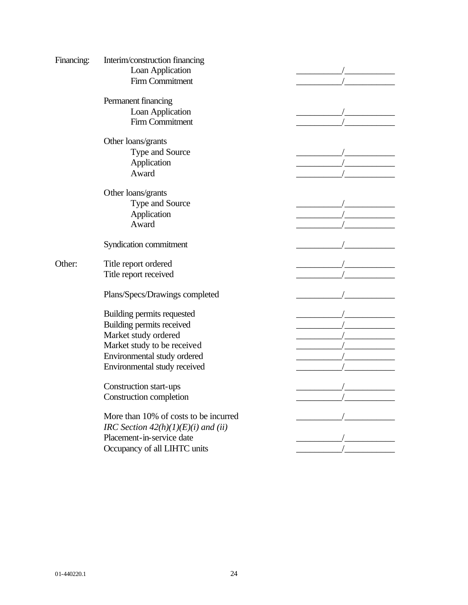| Financing: | Interim/construction financing        |  |
|------------|---------------------------------------|--|
|            | Loan Application                      |  |
|            | <b>Firm Commitment</b>                |  |
|            | Permanent financing                   |  |
|            | Loan Application                      |  |
|            | <b>Firm Commitment</b>                |  |
|            | Other loans/grants                    |  |
|            | Type and Source                       |  |
|            | Application                           |  |
|            |                                       |  |
|            | Award                                 |  |
|            | Other loans/grants                    |  |
|            | Type and Source                       |  |
|            | Application                           |  |
|            | Award                                 |  |
|            |                                       |  |
|            | Syndication commitment                |  |
| Other:     | Title report ordered                  |  |
|            | Title report received                 |  |
|            |                                       |  |
|            | Plans/Specs/Drawings completed        |  |
|            | Building permits requested            |  |
|            | Building permits received             |  |
|            | Market study ordered                  |  |
|            | Market study to be received           |  |
|            | Environmental study ordered           |  |
|            | Environmental study received          |  |
|            |                                       |  |
|            | Construction start-ups                |  |
|            | Construction completion               |  |
|            |                                       |  |
|            | More than 10% of costs to be incurred |  |
|            | IRC Section $42(h)(1)(E)(i)$ and (ii) |  |
|            | Placement-in-service date             |  |
|            | Occupancy of all LIHTC units          |  |
|            |                                       |  |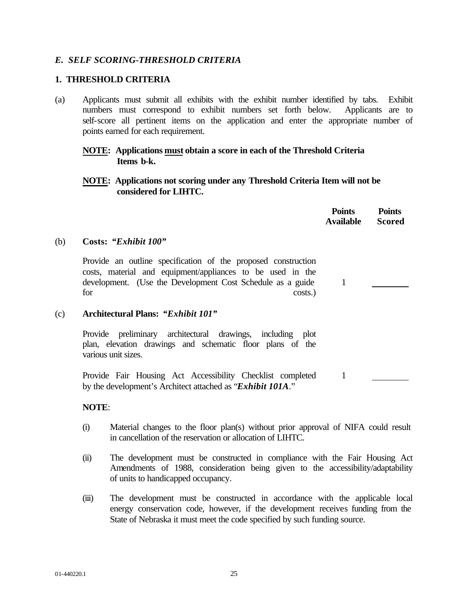# *E. SELF SCORING-THRESHOLD CRITERIA*

# **1. THRESHOLD CRITERIA**

(a) Applicants must submit all exhibits with the exhibit number identified by tabs. Exhibit numbers must correspond to exhibit numbers set forth below. Applicants are to self-score all pertinent items on the application and enter the appropriate number of points earned for each requirement.

# **NOTE: Applications must obtain a score in each of the Threshold Criteria Items b-k.**

# **NOTE: Applications not scoring under any Threshold Criteria Item will not be considered for LIHTC.**

|     |                                                                                                                                                                                                             | <b>Points</b><br><b>Available</b> | <b>Points</b><br><b>Scored</b> |
|-----|-------------------------------------------------------------------------------------------------------------------------------------------------------------------------------------------------------------|-----------------------------------|--------------------------------|
| (b) | Costs: "Exhibit 100"                                                                                                                                                                                        |                                   |                                |
|     | Provide an outline specification of the proposed construction<br>costs, material and equipment/appliances to be used in the<br>development. (Use the Development Cost Schedule as a guide<br>for<br>costs.) | 1                                 |                                |
| (c) | Architectural Plans: "Exhibit 101"                                                                                                                                                                          |                                   |                                |
|     | Provide preliminary architectural drawings, including plot<br>plan, elevation drawings and schematic floor plans of the<br>various unit sizes.                                                              |                                   |                                |
|     | Provide Fair Housing Act Accessibility Checklist completed<br>by the development's Architect attached as "Exhibit 101A."                                                                                    | 1                                 |                                |

# **NOTE**:

- (i) Material changes to the floor plan(s) without prior approval of NIFA could result in cancellation of the reservation or allocation of LIHTC.
- (ii) The development must be constructed in compliance with the Fair Housing Act Amendments of 1988, consideration being given to the accessibility/adaptability of units to handicapped occupancy.
- (iii) The development must be constructed in accordance with the applicable local energy conservation code, however, if the development receives funding from the State of Nebraska it must meet the code specified by such funding source.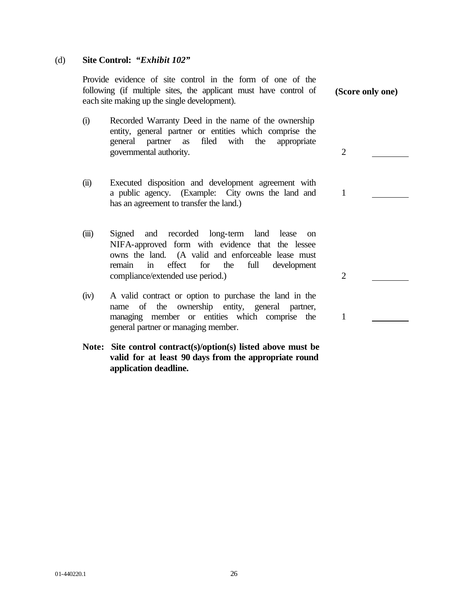### (d) **Site Control:** *"Exhibit 102"*

Provide evidence of site control in the form of one of the following (if multiple sites, the applicant must have control of each site making up the single development).

- (i) Recorded Warranty Deed in the name of the ownership entity, general partner or entities which comprise the general partner as filed with the appropriate governmental authority. 2
- (ii) Executed disposition and development agreement with a public agency. (Example: City owns the land and has an agreement to transfer the land.)
- (iii) Signed and recorded long-term land lease on NIFA-approved form with evidence that the lessee owns the land. (A valid and enforceable lease must remain in effect for the full development compliance/extended use period.) 2
- (iv) A valid contract or option to purchase the land in the name of the ownership entity, general partner, managing member or entities which comprise the general partner or managing member.
- **Note: Site control contract(s)/option(s) listed above must be valid for at least 90 days from the appropriate round application deadline.**

**(Score only one)**

1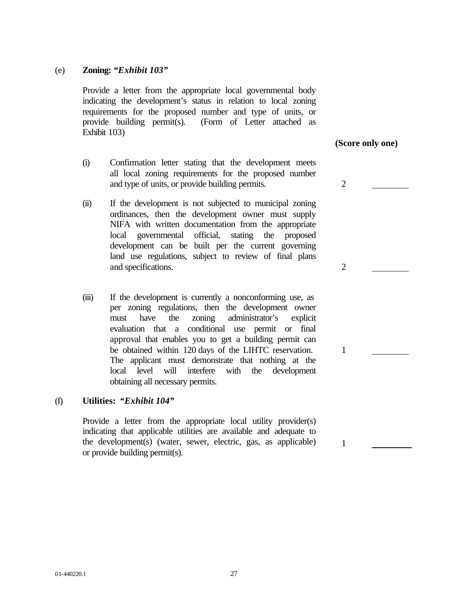### (e) **Zoning:** *"Exhibit 103"*

Provide a letter from the appropriate local governmental body indicating the development's status in relation to local zoning requirements for the proposed number and type of units, or provide building permit(s). (Form of Letter attached as Exhibit 103)

- (i) Confirmation letter stating that the development meets all local zoning requirements for the proposed number and type of units, or provide building permits. 2
- (ii) If the development is not subjected to municipal zoning ordinances, then the development owner must supply NIFA with written documentation from the appropriate local governmental official, stating the proposed development can be built per the current governing land use regulations, subject to review of final plans and specifications. 2
- (iii) If the development is currently a nonconforming use, as per zoning regulations, then the development owner must have the zoning administrator's explicit evaluation that a conditional use permit or final approval that enables you to get a building permit can be obtained within 120 days of the LIHTC reservation. The applicant must demonstrate that nothing at the local level will interfere with the development obtaining all necessary permits.

### (f) **Utilities:** *"Exhibit 104"*

Provide a letter from the appropriate local utility provider(s) indicating that applicable utilities are available and adequate to the development(s) (water, sewer, electric, gas, as applicable) or provide building permit(s).

**(Score only one)**

1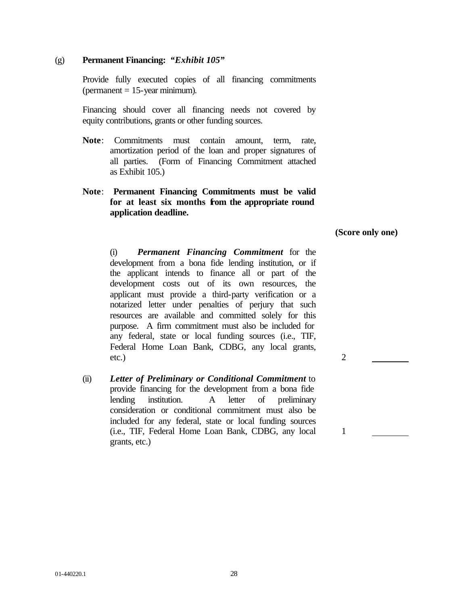#### (g) **Permanent Financing:** *"Exhibit 105"*

Provide fully executed copies of all financing commitments  $(permanent = 15-year minimum).$ 

Financing should cover all financing needs not covered by equity contributions, grants or other funding sources.

- **Note**: Commitments must contain amount, term, rate, amortization period of the loan and proper signatures of all parties. (Form of Financing Commitment attached as Exhibit 105.)
- **Note**: **Permanent Financing Commitments must be valid** for at least six months **from** the appropriate round **application deadline.**

**(Score only one)**

(i) *Permanent Financing Commitment* for the development from a bona fide lending institution, or if the applicant intends to finance all or part of the development costs out of its own resources, the applicant must provide a third-party verification or a notarized letter under penalties of perjury that such resources are available and committed solely for this purpose. A firm commitment must also be included for any federal, state or local funding sources (i.e., TIF, Federal Home Loan Bank, CDBG, any local grants, etc.) 2

(ii) *Letter of Preliminary or Conditional Commitment* to provide financing for the development from a bona fide lending institution. A letter of preliminary consideration or conditional commitment must also be included for any federal, state or local funding sources (i.e., TIF, Federal Home Loan Bank, CDBG, any local grants, etc.)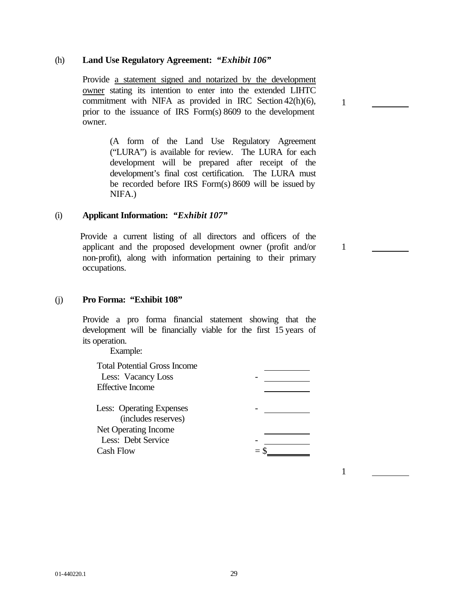### (h) **Land Use Regulatory Agreement:** *"Exhibit 106"*

 Provide a statement signed and notarized by the development owner stating its intention to enter into the extended LIHTC commitment with NIFA as provided in IRC Section 42(h)(6), prior to the issuance of IRS Form(s) 8609 to the development owner.

> (A form of the Land Use Regulatory Agreement ("LURA") is available for review. The LURA for each development will be prepared after receipt of the development's final cost certification. The LURA must be recorded before IRS Form(s) 8609 will be issued by NIFA.)

### (i) **Applicant Information:** *"Exhibit 107"*

 Provide a current listing of all directors and officers of the applicant and the proposed development owner (profit and/or non-profit), along with information pertaining to their primary occupations.

#### (j) **Pro Forma: "Exhibit 108"**

Provide a pro forma financial statement showing that the development will be financially viable for the first 15 years of its operation.

Example:

Total Potential Gross Income Less: Vacancy Loss - Effective Income Less: Operating Expenses

(includes reserves) Net Operating Income Less: Debt Service  $\frac{1}{2}$   $\frac{1}{8}$  $Cash Flow$ 

1

1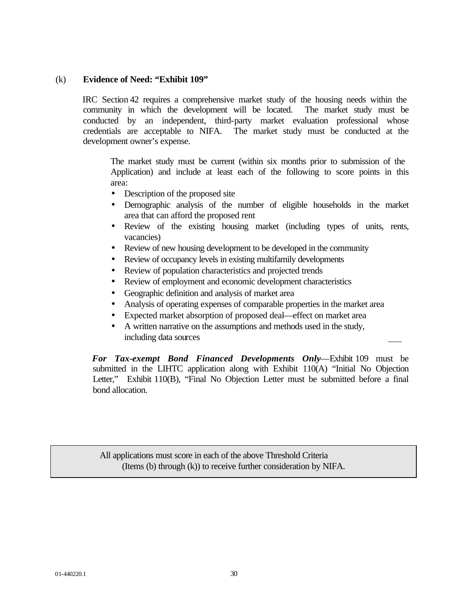# (k) **Evidence of Need: "Exhibit 109"**

IRC Section 42 requires a comprehensive market study of the housing needs within the community in which the development will be located. The market study must be conducted by an independent, third-party market evaluation professional whose credentials are acceptable to NIFA. The market study must be conducted at the development owner's expense.

The market study must be current (within six months prior to submission of the Application) and include at least each of the following to score points in this area:

- Description of the proposed site
- Demographic analysis of the number of eligible households in the market area that can afford the proposed rent
- Review of the existing housing market (including types of units, rents, vacancies)
- Review of new housing development to be developed in the community
- Review of occupancy levels in existing multifamily developments
- Review of population characteristics and projected trends
- Review of employment and economic development characteristics
- Geographic definition and analysis of market area
- Analysis of operating expenses of comparable properties in the market area
- Expected market absorption of proposed deal—effect on market area
- A written narrative on the assumptions and methods used in the study, including data sources

 *For Tax-exempt Bond Financed Developments Only*—Exhibit 109 must be submitted in the LIHTC application along with Exhibit 110(A) "Initial No Objection Letter," Exhibit 110(B), "Final No Objection Letter must be submitted before a final bond allocation.

All applications must score in each of the above Threshold Criteria (Items (b) through (k)) to receive further consideration by NIFA.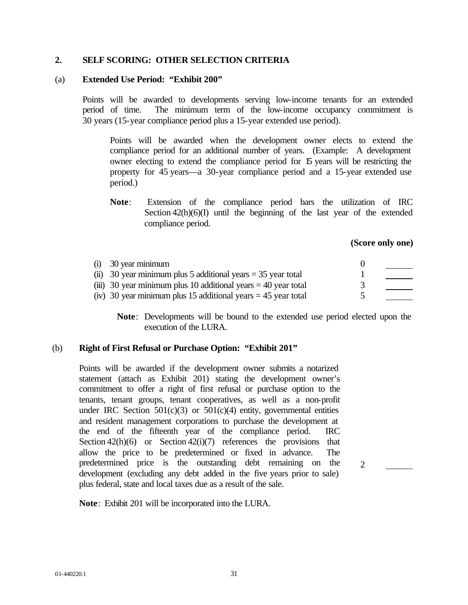### **2. SELF SCORING: OTHER SELECTION CRITERIA**

### (a) **Extended Use Period: "Exhibit 200"**

Points will be awarded to developments serving low-income tenants for an extended period of time. The minimum term of the low-income occupancy commitment is 30 years (15-year compliance period plus a 15-year extended use period).

Points will be awarded when the development owner elects to extend the compliance period for an additional number of years. (Example: A development owner electing to extend the compliance period for 15 years will be restricting the property for 45 years—a 30-year compliance period and a 15-year extended use period.)

**Note**: Extension of the compliance period bars the utilization of IRC Section  $42(h)(6)(I)$  until the beginning of the last year of the extended compliance period.

### **(Score only one)**

| $(i)$ 30 year minimum                                            |  |
|------------------------------------------------------------------|--|
| (ii) 30 year minimum plus 5 additional years $=$ 35 year total   |  |
| (iii) 30 year minimum plus 10 additional years $=$ 40 year total |  |
| (iv) 30 year minimum plus 15 additional years $=$ 45 year total  |  |

**Note**: Developments will be bound to the extended use period elected upon the execution of the LURA.

### (b) **Right of First Refusal or Purchase Option: "Exhibit 201"**

Points will be awarded if the development owner submits a notarized statement (attach as Exhibit 201) stating the development owner's commitment to offer a right of first refusal or purchase option to the tenants, tenant groups, tenant cooperatives, as well as a non-profit under IRC Section  $501(c)(3)$  or  $501(c)(4)$  entity, governmental entities and resident management corporations to purchase the development at the end of the fifteenth year of the compliance period. IRC Section  $42(h)(6)$  or Section  $42(i)(7)$  references the provisions that allow the price to be predetermined or fixed in advance. The predetermined price is the outstanding debt remaining on the development (excluding any debt added in the five years prior to sale) plus federal, state and local taxes due as a result of the sale.

 $\mathcal{D}_{\alpha}$ 

**Note**: Exhibit 201 will be incorporated into the LURA.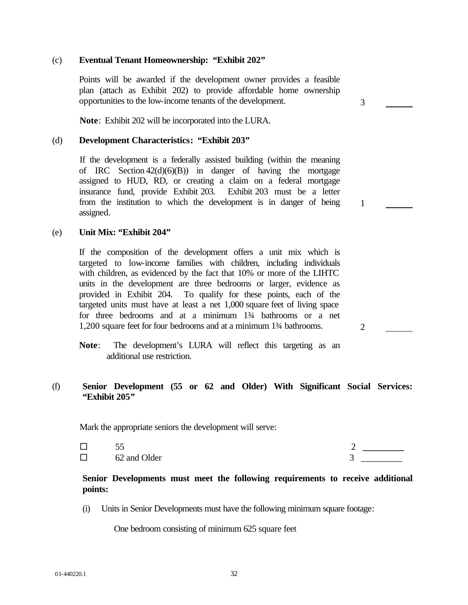# (c) **Eventual Tenant Homeownership: "Exhibit 202"**

Points will be awarded if the development owner provides a feasible plan (attach as Exhibit 202) to provide affordable home ownership opportunities to the low-income tenants of the development.

**Note**: Exhibit 202 will be incorporated into the LURA.

#### (d) **Development Characteristics: "Exhibit 203"**

If the development is a federally assisted building (within the meaning of IRC Section  $42(d)(6)(B)$  in danger of having the mortgage assigned to HUD, RD, or creating a claim on a federal mortgage insurance fund, provide Exhibit 203. Exhibit 203 must be a letter from the institution to which the development is in danger of being assigned.

#### (e) **Unit Mix: "Exhibit 204"**

If the composition of the development offers a unit mix which is targeted to low-income families with children, including individuals with children, as evidenced by the fact that 10% or more of the LIHTC units in the development are three bedrooms or larger, evidence as provided in Exhibit 204. To qualify for these points, each of the targeted units must have at least a net 1,000 square feet of living space for three bedrooms and at a minimum 1¾ bathrooms or a net 1,200 square feet for four bedrooms and at a minimum 1¾ bathrooms.

### (f) **Senior Development (55 or 62 and Older) With Significant Social Services: "Exhibit 205***"*

Mark the appropriate seniors the development will serve:

|         | - -          |                          |
|---------|--------------|--------------------------|
| _<br>__ | 62 and Older | $\overline{\phantom{0}}$ |

### **Senior Developments must meet the following requirements to receive additional points:**

(i) Units in Senior Developments must have the following minimum square footage:

One bedroom consisting of minimum 625 square feet

2

3

**Note**: The development's LURA will reflect this targeting as an additional use restriction.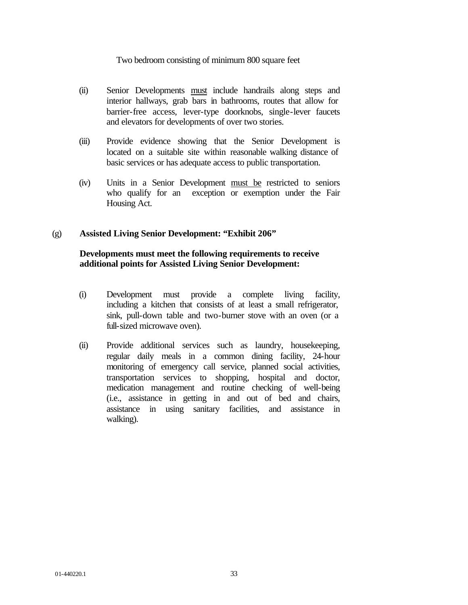### Two bedroom consisting of minimum 800 square feet

- (ii) Senior Developments must include handrails along steps and interior hallways, grab bars in bathrooms, routes that allow for barrier-free access, lever-type doorknobs, single-lever faucets and elevators for developments of over two stories.
- (iii) Provide evidence showing that the Senior Development is located on a suitable site within reasonable walking distance of basic services or has adequate access to public transportation.
- (iv) Units in a Senior Development must be restricted to seniors who qualify for an exception or exemption under the Fair Housing Act.

### (g) **Assisted Living Senior Development: "Exhibit 206"**

# **Developments must meet the following requirements to receive additional points for Assisted Living Senior Development:**

- (i) Development must provide a complete living facility, including a kitchen that consists of at least a small refrigerator, sink, pull-down table and two-burner stove with an oven (or a full-sized microwave oven).
- (ii) Provide additional services such as laundry, housekeeping, regular daily meals in a common dining facility, 24-hour monitoring of emergency call service, planned social activities, transportation services to shopping, hospital and doctor, medication management and routine checking of well-being (i.e., assistance in getting in and out of bed and chairs, assistance in using sanitary facilities, and assistance in walking).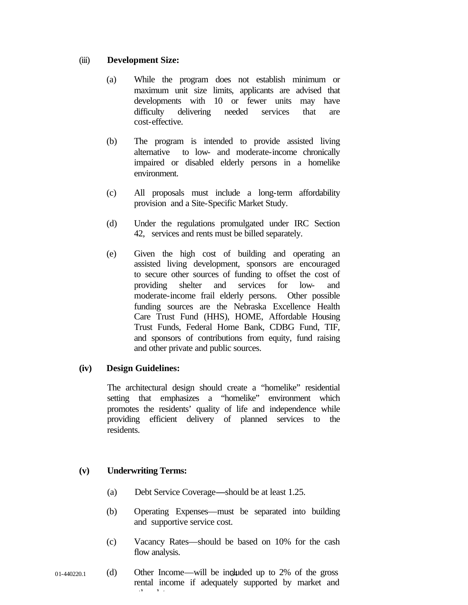### (iii) **Development Size:**

- (a) While the program does not establish minimum or maximum unit size limits, applicants are advised that developments with 10 or fewer units may have difficulty delivering needed services that are cost-effective.
- (b) The program is intended to provide assisted living alternative to low- and moderate-income chronically impaired or disabled elderly persons in a homelike environment.
- (c) All proposals must include a long-term affordability provision and a Site-Specific Market Study.
- (d) Under the regulations promulgated under IRC Section 42, services and rents must be billed separately.
- (e) Given the high cost of building and operating an assisted living development, sponsors are encouraged to secure other sources of funding to offset the cost of providing shelter and services for low- and moderate-income frail elderly persons. Other possible funding sources are the Nebraska Excellence Health Care Trust Fund (HHS), HOME, Affordable Housing Trust Funds, Federal Home Bank, CDBG Fund, TIF, and sponsors of contributions from equity, fund raising and other private and public sources.

# **(iv) Design Guidelines:**

The architectural design should create a "homelike" residential setting that emphasizes a "homelike" environment which promotes the residents' quality of life and independence while providing efficient delivery of planned services to the residents.

# **(v) Underwriting Terms:**

- (a) Debt Service Coverage**—**should be at least 1.25.
- (b) Operating Expenses—must be separated into building and supportive service cost.
- (c) Vacancy Rates—should be based on 10% for the cash flow analysis.
- $_{01-440220.1}$  (d) Other Income—will be included up to 2% of the gross rental income if adequately supported by market and other data.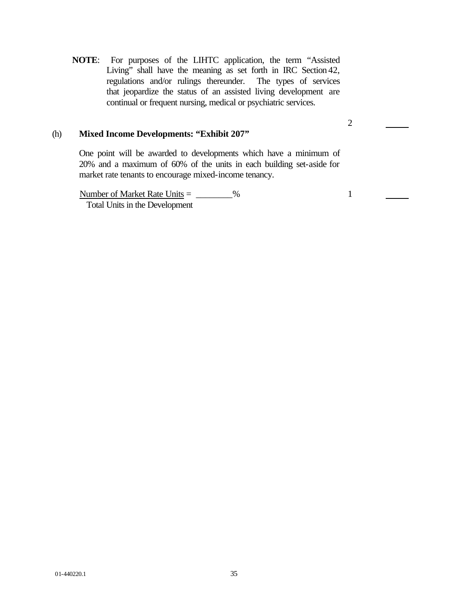**NOTE**: For purposes of the LIHTC application, the term "Assisted Living" shall have the meaning as set forth in IRC Section 42, regulations and/or rulings thereunder. The types of services that jeopardize the status of an assisted living development are continual or frequent nursing, medical or psychiatric services.

# (h) **Mixed Income Developments: "Exhibit 207"**

One point will be awarded to developments which have a minimum of 20% and a maximum of 60% of the units in each building set-aside for market rate tenants to encourage mixed-income tenancy.

Number of Market Rate Units  $=$   $\frac{96}{20}$ Total Units in the Development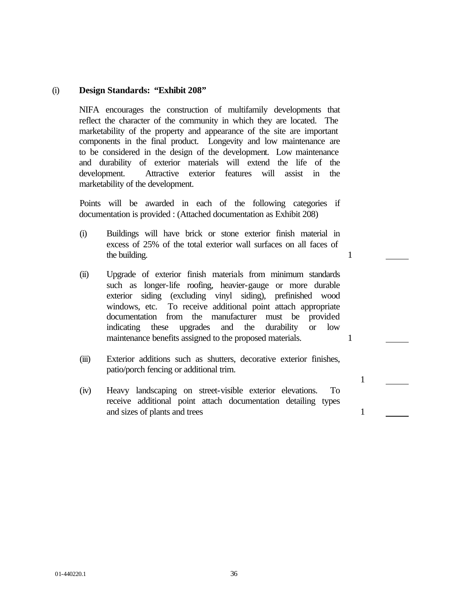### (i) **Design Standards: "Exhibit 208"**

NIFA encourages the construction of multifamily developments that reflect the character of the community in which they are located. The marketability of the property and appearance of the site are important components in the final product. Longevity and low maintenance are to be considered in the design of the development. Low maintenance and durability of exterior materials will extend the life of the development. Attractive exterior features will assist in the marketability of the development.

Points will be awarded in each of the following categories if documentation is provided : (Attached documentation as Exhibit 208)

- (i) Buildings will have brick or stone exterior finish material in excess of 25% of the total exterior wall surfaces on all faces of the building. 1
- (ii) Upgrade of exterior finish materials from minimum standards such as longer-life roofing, heavier-gauge or more durable exterior siding (excluding vinyl siding), prefinished wood windows, etc. To receive additional point attach appropriate documentation from the manufacturer must be provided indicating these upgrades and the durability or low maintenance benefits assigned to the proposed materials. 1
- (iii) Exterior additions such as shutters, decorative exterior finishes, patio/porch fencing or additional trim.

1

(iv) Heavy landscaping on street-visible exterior elevations. To receive additional point attach documentation detailing types and sizes of plants and trees 1

01-440220.1 36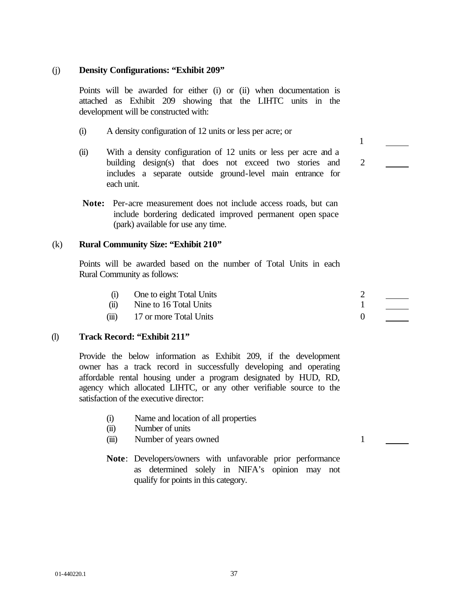### (j) **Density Configurations: "Exhibit 209"**

Points will be awarded for either (i) or (ii) when documentation is attached as Exhibit 209 showing that the LIHTC units in the development will be constructed with:

- (i) A density configuration of 12 units or less per acre; or
- (ii) With a density configuration of 12 units or less per acre and a building design(s) that does not exceed two stories and includes a separate outside ground-level main entrance for each unit.
- **Note:** Per-acre measurement does not include access roads, but can include bordering dedicated improved permanent open space (park) available for use any time.

### (k) **Rural Community Size: "Exhibit 210"**

Points will be awarded based on the number of Total Units in each Rural Community as follows:

- (i) One to eight Total Units 2
- (ii) Nine to 16 Total Units 1
- $(iii)$  17 or more Total Units 0

# (l) **Track Record: "Exhibit 211"**

Provide the below information as Exhibit 209, if the development owner has a track record in successfully developing and operating affordable rental housing under a program designated by HUD, RD, agency which allocated LIHTC, or any other verifiable source to the satisfaction of the executive director:

- (i) Name and location of all properties
- (ii) Number of units
- (iii) Number of years owned 1
- **Note**: Developers/owners with unfavorable prior performance as determined solely in NIFA's opinion may not qualify for points in this category.

2

1

01-440220.1 37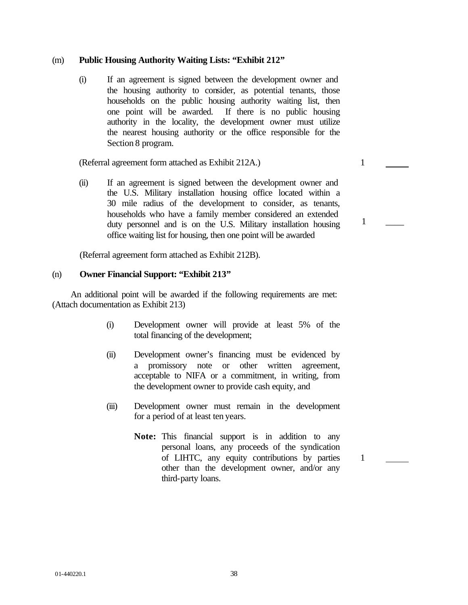### (m) **Public Housing Authority Waiting Lists: "Exhibit 212"**

(i) If an agreement is signed between the development owner and the housing authority to consider, as potential tenants, those households on the public housing authority waiting list, then one point will be awarded. If there is no public housing authority in the locality, the development owner must utilize the nearest housing authority or the office responsible for the Section 8 program.

(Referral agreement form attached as Exhibit 212A.) 1

(ii) If an agreement is signed between the development owner and the U.S. Military installation housing office located within a 30 mile radius of the development to consider, as tenants, households who have a family member considered an extended duty personnel and is on the U.S. Military installation housing office waiting list for housing, then one point will be awarded

(Referral agreement form attached as Exhibit 212B).

# (n) **Owner Financial Support: "Exhibit 213"**

 An additional point will be awarded if the following requirements are met: (Attach documentation as Exhibit 213)

- (i) Development owner will provide at least 5% of the total financing of the development;
- (ii) Development owner's financing must be evidenced by a promissory note or other written agreement, acceptable to NIFA or a commitment, in writing, from the development owner to provide cash equity, and
- (iii) Development owner must remain in the development for a period of at least ten years.
	- **Note:** This financial support is in addition to any personal loans, any proceeds of the syndication of LIHTC, any equity contributions by parties other than the development owner, and/or any third-party loans.

1

 $1 \quad \_$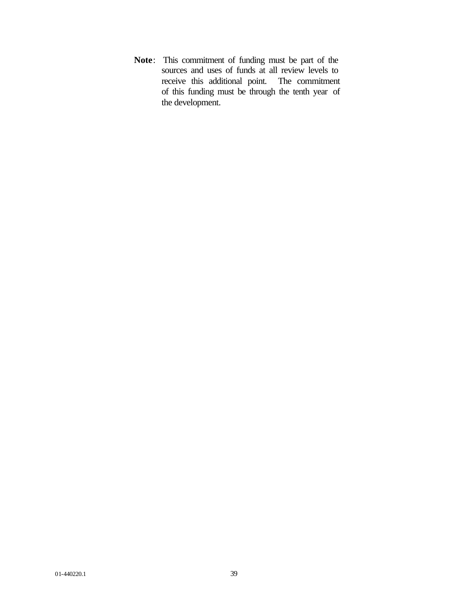**Note**: This commitment of funding must be part of the sources and uses of funds at all review levels to receive this additional point. The commitment of this funding must be through the tenth year of the development.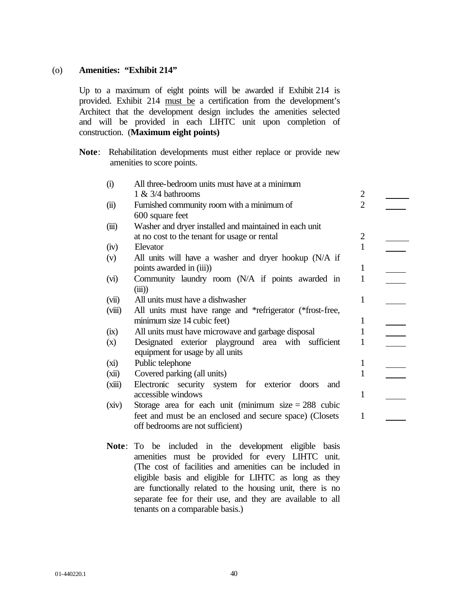### (o) **Amenities: "Exhibit 214"**

Up to a maximum of eight points will be awarded if Exhibit 214 is provided. Exhibit 214 must be a certification from the development's Architect that the development design includes the amenities selected and will be provided in each LIHTC unit upon completion of construction. (**Maximum eight points)**

**Note**: Rehabilitation developments must either replace or provide new amenities to score points.

| (i)    | All three-bedroom units must have at a minimum            |                |  |
|--------|-----------------------------------------------------------|----------------|--|
|        | $1 \& 3/4$ bathrooms                                      | $\mathbf{2}$   |  |
| (ii)   | Furnished community room with a minimum of                | $\overline{2}$ |  |
|        | 600 square feet                                           |                |  |
| (iii)  | Washer and dryer installed and maintained in each unit    |                |  |
|        | at no cost to the tenant for usage or rental              | $\overline{2}$ |  |
| (iv)   | Elevator                                                  | 1              |  |
| (v)    | All units will have a washer and dryer hookup (N/A if     |                |  |
|        | points awarded in (iii))                                  | 1              |  |
| (vi)   | Community laundry room (N/A if points awarded in          | $\mathbf{1}$   |  |
|        | (iii)                                                     |                |  |
| (vii)  | All units must have a dishwasher                          | $\mathbf{1}$   |  |
| (viii) | All units must have range and *refrigerator (*frost-free, |                |  |
|        | minimum size 14 cubic feet)                               | 1              |  |
| (ix)   | All units must have microwave and garbage disposal        | $\mathbf{1}$   |  |
| (x)    | Designated exterior playground area with sufficient       | 1              |  |
|        | equipment for usage by all units                          |                |  |
| (xi)   | Public telephone                                          | 1              |  |
| (xii)  | Covered parking (all units)                               | 1              |  |
| (xiii) | Electronic security system for exterior doors<br>and      |                |  |
|        | accessible windows                                        | 1              |  |
| (xiv)  | Storage area for each unit (minimum size $= 288$ cubic    |                |  |
|        | feet and must be an enclosed and secure space) (Closets   | 1              |  |
|        | off bedrooms are not sufficient)                          |                |  |
|        |                                                           |                |  |
|        | Note: To be included in the development eligible<br>basis |                |  |
|        | amenities must be provided for every LIHTC unit.          |                |  |
|        | (The cost of facilities and amenities can be included in  |                |  |
|        |                                                           |                |  |

eligible basis and eligible for LIHTC as long as they are functionally related to the housing unit, there is no separate fee for their use, and they are available to all tenants on a comparable basis.)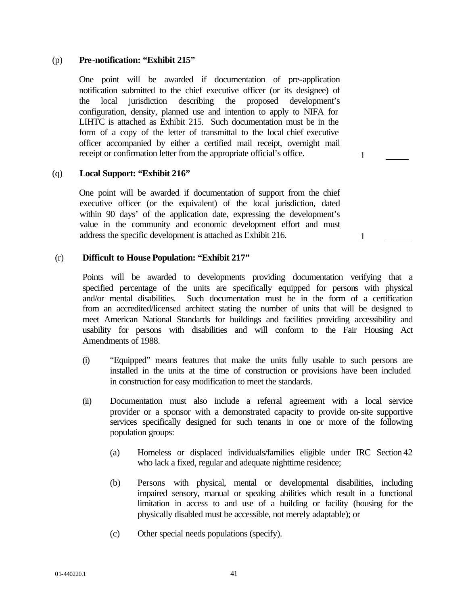### (p) **Pre-notification: "Exhibit 215"**

One point will be awarded if documentation of pre-application notification submitted to the chief executive officer (or its designee) of the local jurisdiction describing the proposed development's configuration, density, planned use and intention to apply to NIFA for LIHTC is attached as Exhibit 215. Such documentation must be in the form of a copy of the letter of transmittal to the local chief executive officer accompanied by either a certified mail receipt, overnight mail receipt or confirmation letter from the appropriate official's office.

### (q) **Local Support: "Exhibit 216"**

One point will be awarded if documentation of support from the chief executive officer (or the equivalent) of the local jurisdiction, dated within 90 days' of the application date, expressing the development's value in the community and economic development effort and must address the specific development is attached as Exhibit 216.

(r) **Difficult to House Population: "Exhibit 217"**

Points will be awarded to developments providing documentation verifying that a specified percentage of the units are specifically equipped for persons with physical and/or mental disabilities. Such documentation must be in the form of a certification from an accredited/licensed architect stating the number of units that will be designed to meet American National Standards for buildings and facilities providing accessibility and usability for persons with disabilities and will conform to the Fair Housing Act Amendments of 1988.

- (i) "Equipped" means features that make the units fully usable to such persons are installed in the units at the time of construction or provisions have been included in construction for easy modification to meet the standards.
- (ii) Documentation must also include a referral agreement with a local service provider or a sponsor with a demonstrated capacity to provide on-site supportive services specifically designed for such tenants in one or more of the following population groups:
	- (a) Homeless or displaced individuals/families eligible under IRC Section 42 who lack a fixed, regular and adequate nighttime residence;
	- (b) Persons with physical, mental or developmental disabilities, including impaired sensory, manual or speaking abilities which result in a functional limitation in access to and use of a building or facility (housing for the physically disabled must be accessible, not merely adaptable); or
	- (c) Other special needs populations (specify).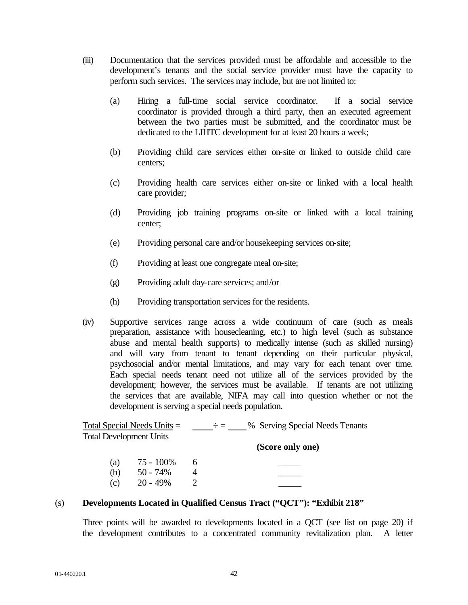- (iii) Documentation that the services provided must be affordable and accessible to the development's tenants and the social service provider must have the capacity to perform such services. The services may include, but are not limited to:
	- (a) Hiring a full-time social service coordinator. If a social service coordinator is provided through a third party, then an executed agreement between the two parties must be submitted, and the coordinator must be dedicated to the LIHTC development for at least 20 hours a week;
	- (b) Providing child care services either on-site or linked to outside child care centers;
	- (c) Providing health care services either on-site or linked with a local health care provider;
	- (d) Providing job training programs on-site or linked with a local training center;
	- (e) Providing personal care and/or housekeeping services on-site;
	- (f) Providing at least one congregate meal on-site;
	- (g) Providing adult day-care services; and/or
	- (h) Providing transportation services for the residents.
- (iv) Supportive services range across a wide continuum of care (such as meals preparation, assistance with housecleaning, etc.) to high level (such as substance abuse and mental health supports) to medically intense (such as skilled nursing) and will vary from tenant to tenant depending on their particular physical, psychosocial and/or mental limitations, and may vary for each tenant over time. Each special needs tenant need not utilize all of the services provided by the development; however, the services must be available. If tenants are not utilizing the services that are available, NIFA may call into question whether or not the development is serving a special needs population.

|                                | Total Special Needs Units $=$ |   | % Serving Special Needs Tenants<br>- 一 一 一 一 |
|--------------------------------|-------------------------------|---|----------------------------------------------|
| <b>Total Development Units</b> |                               |   |                                              |
|                                |                               |   | (Score only one)                             |
| (a)                            | 75 - 100%                     | 6 |                                              |
| (b)                            | $50 - 74\%$                   |   |                                              |
| (c)                            | $20 - 49%$                    |   |                                              |

# (s) **Developments Located in Qualified Census Tract ("QCT"): "Exhibit 218"**

Three points will be awarded to developments located in a QCT (see list on page 20) if the development contributes to a concentrated community revitalization plan. A letter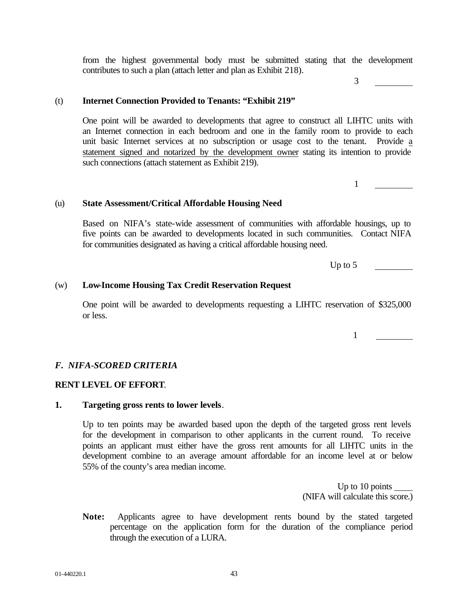from the highest governmental body must be submitted stating that the development contributes to such a plan (attach letter and plan as Exhibit 218).

# (t) **Internet Connection Provided to Tenants: "Exhibit 219"**

One point will be awarded to developments that agree to construct all LIHTC units with an Internet connection in each bedroom and one in the family room to provide to each unit basic Internet services at no subscription or usage cost to the tenant. Provide a statement signed and notarized by the development owner stating its intention to provide such connections (attach statement as Exhibit 219).

(u) **State Assessment/Critical Affordable Housing Need**

Based on NIFA's state-wide assessment of communities with affordable housings, up to five points can be awarded to developments located in such communities. Contact NIFA for communities designated as having a critical affordable housing need.

Up to  $5 \qquad \qquad$ 

#### (w) **Low-Income Housing Tax Credit Reservation Request**

One point will be awarded to developments requesting a LIHTC reservation of \$325,000 or less.

#### *F. NIFA-SCORED CRITERIA*

#### **RENT LEVEL OF EFFORT**.

#### **1. Targeting gross rents to lower levels**.

Up to ten points may be awarded based upon the depth of the targeted gross rent levels for the development in comparison to other applicants in the current round. To receive points an applicant must either have the gross rent amounts for all LIHTC units in the development combine to an average amount affordable for an income level at or below 55% of the county's area median income.

> Up to 10 points (NIFA will calculate this score.)

**Note:** Applicants agree to have development rents bound by the stated targeted percentage on the application form for the duration of the compliance period through the execution of a LURA.

1

1

3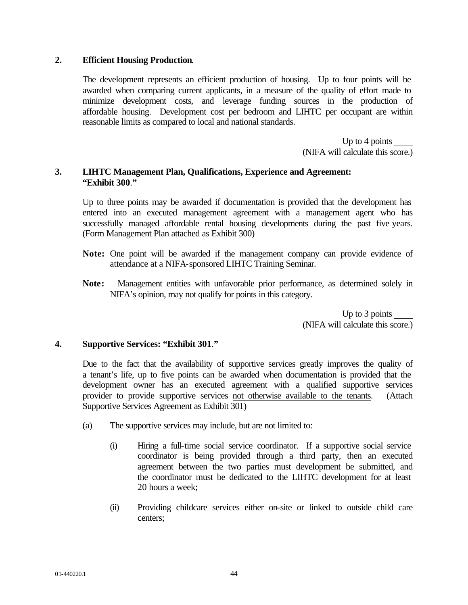### **2. Efficient Housing Production**.

The development represents an efficient production of housing. Up to four points will be awarded when comparing current applicants, in a measure of the quality of effort made to minimize development costs, and leverage funding sources in the production of affordable housing. Development cost per bedroom and LIHTC per occupant are within reasonable limits as compared to local and national standards.

> Up to 4 points (NIFA will calculate this score.)

# **3. LIHTC Management Plan, Qualifications, Experience and Agreement: "Exhibit 300**.**"**

Up to three points may be awarded if documentation is provided that the development has entered into an executed management agreement with a management agent who has successfully managed affordable rental housing developments during the past five years. (Form Management Plan attached as Exhibit 300)

- **Note:** One point will be awarded if the management company can provide evidence of attendance at a NIFA-sponsored LIHTC Training Seminar.
- **Note:** Management entities with unfavorable prior performance, as determined solely in NIFA's opinion, may not qualify for points in this category.

Up to 3 points (NIFA will calculate this score.)

# **4. Supportive Services: "Exhibit 301**.**"**

Due to the fact that the availability of supportive services greatly improves the quality of a tenant's life, up to five points can be awarded when documentation is provided that the development owner has an executed agreement with a qualified supportive services provider to provide supportive services not otherwise available to the tenants. (Attach Supportive Services Agreement as Exhibit 301)

- (a) The supportive services may include, but are not limited to:
	- (i) Hiring a full-time social service coordinator. If a supportive social service coordinator is being provided through a third party, then an executed agreement between the two parties must development be submitted, and the coordinator must be dedicated to the LIHTC development for at least 20 hours a week;
	- (ii) Providing childcare services either on-site or linked to outside child care centers;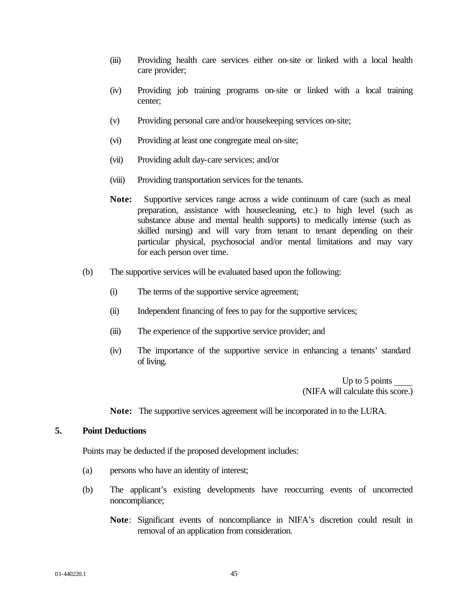- (iii) Providing health care services either on-site or linked with a local health care provider;
- (iv) Providing job training programs on-site or linked with a local training center;
- (v) Providing personal care and/or housekeeping services on-site;
- (vi) Providing at least one congregate meal on-site;
- (vii) Providing adult day-care services; and/or
- (viii) Providing transportation services for the tenants.
- **Note:** Supportive services range across a wide continuum of care (such as meal preparation, assistance with housecleaning, etc.) to high level (such as substance abuse and mental health supports) to medically intense (such as skilled nursing) and will vary from tenant to tenant depending on their particular physical, psychosocial and/or mental limitations and may vary for each person over time.
- (b) The supportive services will be evaluated based upon the following:
	- (i) The terms of the supportive service agreement;
	- (ii) Independent financing of fees to pay for the supportive services;
	- (iii) The experience of the supportive service provider; and
	- (iv) The importance of the supportive service in enhancing a tenants' standard of living.

Up to 5 points (NIFA will calculate this score.)

**Note:** The supportive services agreement will be incorporated in to the LURA.

### **5. Point Deductions**

Points may be deducted if the proposed development includes:

- (a) persons who have an identity of interest;
- (b) The applicant's existing developments have reoccurring events of uncorrected noncompliance;
	- **Note**: Significant events of noncompliance in NIFA's discretion could result in removal of an application from consideration.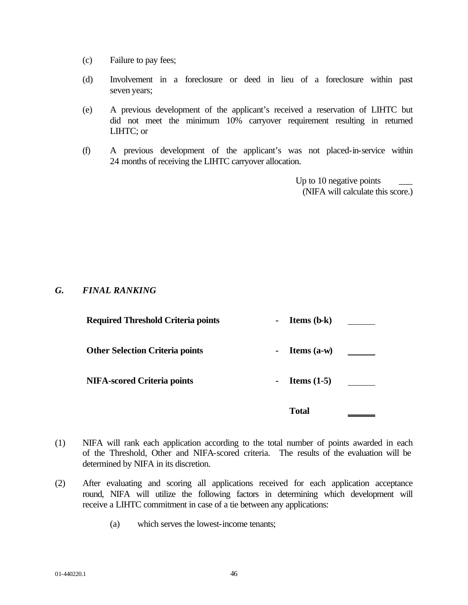- (c) Failure to pay fees;
- (d) Involvement in a foreclosure or deed in lieu of a foreclosure within past seven years;
- (e) A previous development of the applicant's received a reservation of LIHTC but did not meet the minimum 10% carryover requirement resulting in returned LIHTC; or
- (f) A previous development of the applicant's was not placed-in-service within 24 months of receiving the LIHTC carryover allocation.

Up to 10 negative points (NIFA will calculate this score.)

# *G. FINAL RANKING*

| <b>Required Threshold Criteria points</b> | $\blacksquare$ | <b>Items</b> $(b-k)$ |  |
|-------------------------------------------|----------------|----------------------|--|
| <b>Other Selection Criteria points</b>    | $\blacksquare$ | Items $(a-w)$        |  |
| <b>NIFA-scored Criteria points</b>        | $\blacksquare$ | Items $(1-5)$        |  |
|                                           |                | <b>Total</b>         |  |

- (1) NIFA will rank each application according to the total number of points awarded in each of the Threshold, Other and NIFA-scored criteria. The results of the evaluation will be determined by NIFA in its discretion.
- (2) After evaluating and scoring all applications received for each application acceptance round, NIFA will utilize the following factors in determining which development will receive a LIHTC commitment in case of a tie between any applications:
	- (a) which serves the lowest-income tenants;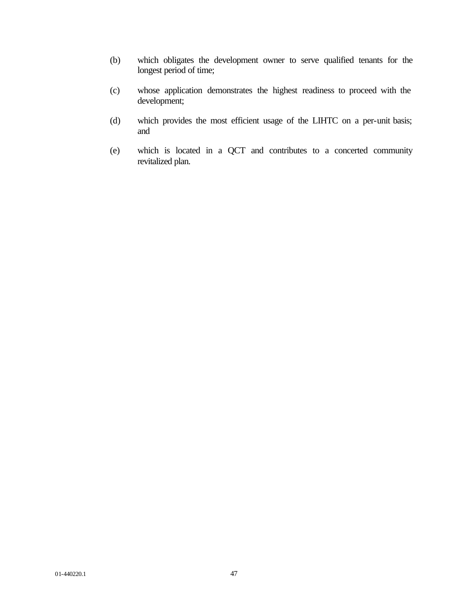- (b) which obligates the development owner to serve qualified tenants for the longest period of time;
- (c) whose application demonstrates the highest readiness to proceed with the development;
- (d) which provides the most efficient usage of the LIHTC on a per-unit basis; and
- (e) which is located in a QCT and contributes to a concerted community revitalized plan.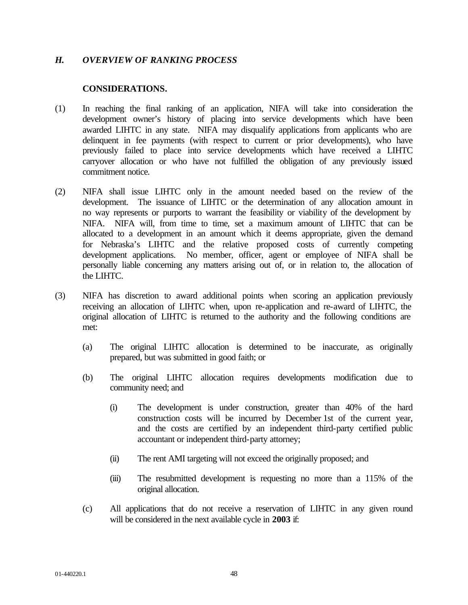### *H. OVERVIEW OF RANKING PROCESS*

### **CONSIDERATIONS.**

- (1) In reaching the final ranking of an application, NIFA will take into consideration the development owner's history of placing into service developments which have been awarded LIHTC in any state. NIFA may disqualify applications from applicants who are delinquent in fee payments (with respect to current or prior developments), who have previously failed to place into service developments which have received a LIHTC carryover allocation or who have not fulfilled the obligation of any previously issued commitment notice.
- (2) NIFA shall issue LIHTC only in the amount needed based on the review of the development. The issuance of LIHTC or the determination of any allocation amount in no way represents or purports to warrant the feasibility or viability of the development by NIFA. NIFA will, from time to time, set a maximum amount of LIHTC that can be allocated to a development in an amount which it deems appropriate, given the demand for Nebraska's LIHTC and the relative proposed costs of currently competing development applications. No member, officer, agent or employee of NIFA shall be personally liable concerning any matters arising out of, or in relation to, the allocation of the LIHTC.
- (3) NIFA has discretion to award additional points when scoring an application previously receiving an allocation of LIHTC when, upon re-application and re-award of LIHTC, the original allocation of LIHTC is returned to the authority and the following conditions are met:
	- (a) The original LIHTC allocation is determined to be inaccurate, as originally prepared, but was submitted in good faith; or
	- (b) The original LIHTC allocation requires developments modification due to community need; and
		- (i) The development is under construction, greater than 40% of the hard construction costs will be incurred by December 1st of the current year, and the costs are certified by an independent third-party certified public accountant or independent third-party attorney;
		- (ii) The rent AMI targeting will not exceed the originally proposed; and
		- (iii) The resubmitted development is requesting no more than a 115% of the original allocation.
	- (c) All applications that do not receive a reservation of LIHTC in any given round will be considered in the next available cycle in **2003** if: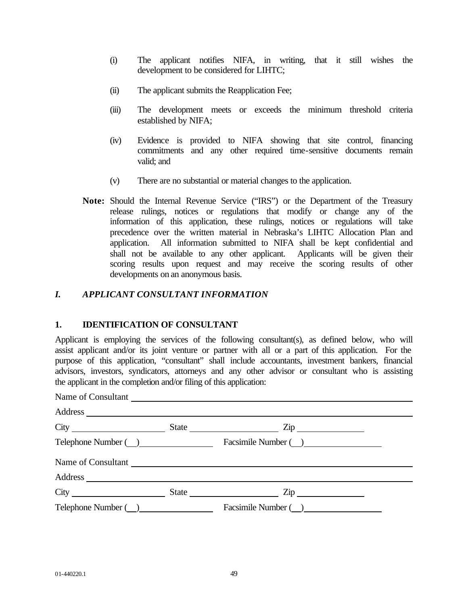- (i) The applicant notifies NIFA, in writing, that it still wishes the development to be considered for LIHTC;
- (ii) The applicant submits the Reapplication Fee;
- (iii) The development meets or exceeds the minimum threshold criteria established by NIFA;
- (iv) Evidence is provided to NIFA showing that site control, financing commitments and any other required time-sensitive documents remain valid; and
- (v) There are no substantial or material changes to the application.
- **Note:** Should the Internal Revenue Service ("IRS") or the Department of the Treasury release rulings, notices or regulations that modify or change any of the information of this application, these rulings, notices or regulations will take precedence over the written material in Nebraska's LIHTC Allocation Plan and application. All information submitted to NIFA shall be kept confidential and shall not be available to any other applicant. Applicants will be given their scoring results upon request and may receive the scoring results of other developments on an anonymous basis.

# *I. APPLICANT CONSULTANT INFORMATION*

# **1. IDENTIFICATION OF CONSULTANT**

Applicant is employing the services of the following consultant(s), as defined below, who will assist applicant and/or its joint venture or partner with all or a part of this application. For the purpose of this application, "consultant" shall include accountants, investment bankers, financial advisors, investors, syndicators, attorneys and any other advisor or consultant who is assisting the applicant in the completion and/or filing of this application:

| Name of Consultant |  |                                           |  |  |  |
|--------------------|--|-------------------------------------------|--|--|--|
|                    |  |                                           |  |  |  |
|                    |  | $City$ $City$ $State$ $Zip$               |  |  |  |
|                    |  | Telephone Number ( ) Facsimile Number ( ) |  |  |  |
|                    |  | Name of Consultant                        |  |  |  |
|                    |  |                                           |  |  |  |
|                    |  | $City$ $City$ $State$ $Zip$               |  |  |  |
|                    |  |                                           |  |  |  |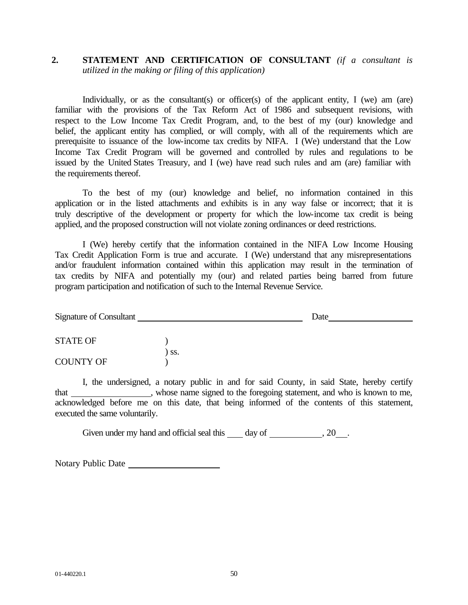# **2. STATEMENT AND CERTIFICATION OF CONSULTANT** *(if a consultant is utilized in the making or filing of this application)*

Individually, or as the consultant(s) or officer(s) of the applicant entity, I (we) am (are) familiar with the provisions of the Tax Reform Act of 1986 and subsequent revisions, with respect to the Low Income Tax Credit Program, and, to the best of my (our) knowledge and belief, the applicant entity has complied, or will comply, with all of the requirements which are prerequisite to issuance of the low-income tax credits by NIFA. I (We) understand that the Low Income Tax Credit Program will be governed and controlled by rules and regulations to be issued by the United States Treasury, and I (we) have read such rules and am (are) familiar with the requirements thereof.

To the best of my (our) knowledge and belief, no information contained in this application or in the listed attachments and exhibits is in any way false or incorrect; that it is truly descriptive of the development or property for which the low-income tax credit is being applied, and the proposed construction will not violate zoning ordinances or deed restrictions.

I (We) hereby certify that the information contained in the NIFA Low Income Housing Tax Credit Application Form is true and accurate. I (We) understand that any misrepresentations and/or fraudulent information contained within this application may result in the termination of tax credits by NIFA and potentially my (our) and related parties being barred from future program participation and notification of such to the Internal Revenue Service.

| Signature of Consultant |     | Date |  |
|-------------------------|-----|------|--|
| STATE OF                |     |      |  |
| <b>COUNTY OF</b>        | SS. |      |  |

I, the undersigned, a notary public in and for said County, in said State, hereby certify that \_\_\_\_\_\_\_\_\_\_\_\_\_, whose name signed to the foregoing statement, and who is known to me, acknowledged before me on this date, that being informed of the contents of this statement, executed the same voluntarily.

Given under my hand and official seal this day of , 20 .

Notary Public Date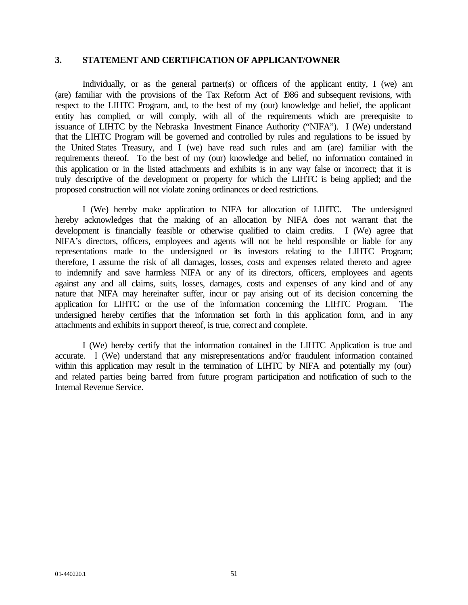# **3. STATEMENT AND CERTIFICATION OF APPLICANT/OWNER**

Individually, or as the general partner(s) or officers of the applicant entity, I (we) am (are) familiar with the provisions of the Tax Reform Act of 1986 and subsequent revisions, with respect to the LIHTC Program, and, to the best of my (our) knowledge and belief, the applicant entity has complied, or will comply, with all of the requirements which are prerequisite to issuance of LIHTC by the Nebraska Investment Finance Authority ("NIFA"). I (We) understand that the LIHTC Program will be governed and controlled by rules and regulations to be issued by the United States Treasury, and I (we) have read such rules and am (are) familiar with the requirements thereof. To the best of my (our) knowledge and belief, no information contained in this application or in the listed attachments and exhibits is in any way false or incorrect; that it is truly descriptive of the development or property for which the LIHTC is being applied; and the proposed construction will not violate zoning ordinances or deed restrictions.

I (We) hereby make application to NIFA for allocation of LIHTC. The undersigned hereby acknowledges that the making of an allocation by NIFA does not warrant that the development is financially feasible or otherwise qualified to claim credits. I (We) agree that NIFA's directors, officers, employees and agents will not be held responsible or liable for any representations made to the undersigned or its investors relating to the LIHTC Program; therefore, I assume the risk of all damages, losses, costs and expenses related thereto and agree to indemnify and save harmless NIFA or any of its directors, officers, employees and agents against any and all claims, suits, losses, damages, costs and expenses of any kind and of any nature that NIFA may hereinafter suffer, incur or pay arising out of its decision concerning the application for LIHTC or the use of the information concerning the LIHTC Program. The undersigned hereby certifies that the information set forth in this application form, and in any attachments and exhibits in support thereof, is true, correct and complete.

I (We) hereby certify that the information contained in the LIHTC Application is true and accurate. I (We) understand that any misrepresentations and/or fraudulent information contained within this application may result in the termination of LIHTC by NIFA and potentially my (our) and related parties being barred from future program participation and notification of such to the Internal Revenue Service.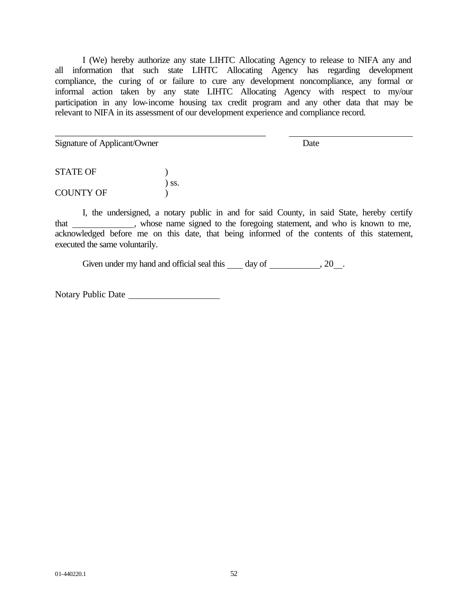I (We) hereby authorize any state LIHTC Allocating Agency to release to NIFA any and all information that such state LIHTC Allocating Agency has regarding development compliance, the curing of or failure to cure any development noncompliance, any formal or informal action taken by any state LIHTC Allocating Agency with respect to my/our participation in any low-income housing tax credit program and any other data that may be relevant to NIFA in its assessment of our development experience and compliance record.

Signature of Applicant/Owner Date

STATE OF  $\qquad \qquad$  ) ) ss. COUNTY OF  $\qquad$  )

\_\_\_\_\_\_\_\_\_\_\_\_\_\_\_\_\_\_\_\_\_\_\_\_\_\_\_\_\_\_\_\_\_\_\_\_\_\_\_\_\_\_\_\_\_\_

I, the undersigned, a notary public in and for said County, in said State, hereby certify that , whose name signed to the foregoing statement, and who is known to me, acknowledged before me on this date, that being informed of the contents of this statement, executed the same voluntarily.

Given under my hand and official seal this  $\_\_\_$  day of  $\_\_\_\_\_$ , 20 $\_\_\_\_\$ .

Notary Public Date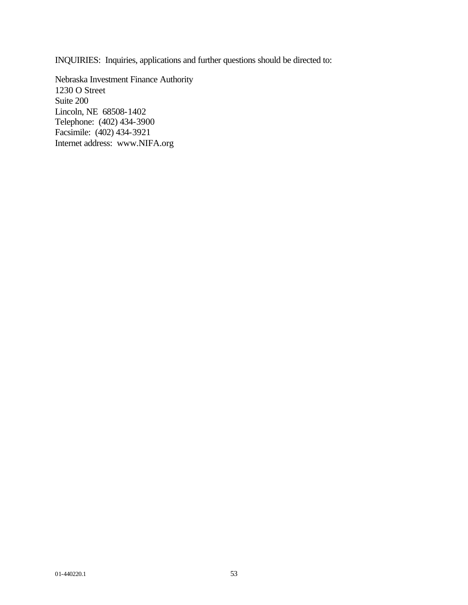INQUIRIES: Inquiries, applications and further questions should be directed to:

Nebraska Investment Finance Authority 1230 O Street Suite 200 Lincoln, NE 68508-1402 Telephone: (402) 434-3900 Facsimile: (402) 434-3921 Internet address: www.NIFA.org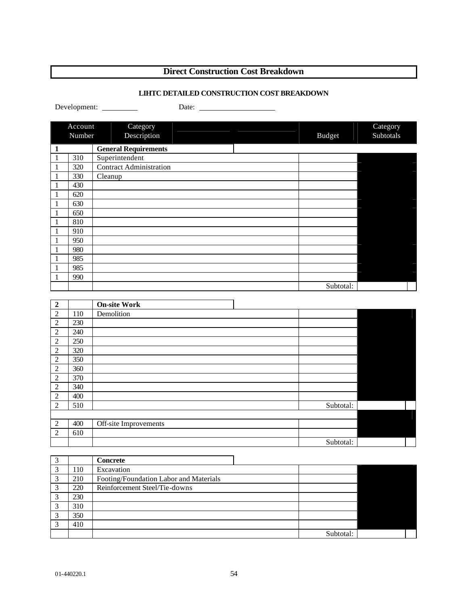# **Direct Construction Cost Breakdown**

### **LIHTC DETAILED CONSTRUCTION COST BREAKDOWN**

|                          |                   | Development:<br>Date:                                                                                                                                                                                                                                                                                                               |               |                       |
|--------------------------|-------------------|-------------------------------------------------------------------------------------------------------------------------------------------------------------------------------------------------------------------------------------------------------------------------------------------------------------------------------------|---------------|-----------------------|
|                          |                   |                                                                                                                                                                                                                                                                                                                                     |               |                       |
|                          | Account<br>Number | Category<br>Description                                                                                                                                                                                                                                                                                                             | <b>Budget</b> | Category<br>Subtotals |
|                          |                   |                                                                                                                                                                                                                                                                                                                                     |               |                       |
| $\mathbf{1}$             | 310               | <b>General Requirements</b><br>Superintendent                                                                                                                                                                                                                                                                                       |               |                       |
| $\,1\,$                  | 320               | <b>Contract Administration</b>                                                                                                                                                                                                                                                                                                      |               |                       |
| $\mathbf{1}$<br>$\,1\,$  | 330               | Cleanup                                                                                                                                                                                                                                                                                                                             |               |                       |
| $\mathbf{1}$             | 430               |                                                                                                                                                                                                                                                                                                                                     |               |                       |
| $\,1\,$                  | 620               |                                                                                                                                                                                                                                                                                                                                     |               |                       |
| $\mathbf{1}$             | 630               |                                                                                                                                                                                                                                                                                                                                     |               |                       |
| $\mathbf{1}$             | 650               |                                                                                                                                                                                                                                                                                                                                     |               |                       |
| $\mathbf{1}$             | 810               |                                                                                                                                                                                                                                                                                                                                     |               |                       |
| $\mathbf{1}$             | 910               |                                                                                                                                                                                                                                                                                                                                     |               |                       |
| 1                        | 950               |                                                                                                                                                                                                                                                                                                                                     |               |                       |
| $\mathbf{1}$             | 980               |                                                                                                                                                                                                                                                                                                                                     |               |                       |
| $\mathbf{1}$             | 985               |                                                                                                                                                                                                                                                                                                                                     |               |                       |
| 1                        | 985               |                                                                                                                                                                                                                                                                                                                                     |               |                       |
| $\mathbf{1}$             | 990               |                                                                                                                                                                                                                                                                                                                                     |               |                       |
|                          |                   |                                                                                                                                                                                                                                                                                                                                     | Subtotal:     |                       |
|                          |                   |                                                                                                                                                                                                                                                                                                                                     |               |                       |
| $\overline{2}$           |                   | <b>On-site Work</b>                                                                                                                                                                                                                                                                                                                 |               |                       |
| $\overline{c}$           | 110               | Demolition                                                                                                                                                                                                                                                                                                                          |               |                       |
| $\overline{c}$           | 230               |                                                                                                                                                                                                                                                                                                                                     |               |                       |
| $\overline{c}$           | 240               |                                                                                                                                                                                                                                                                                                                                     |               |                       |
| $\overline{c}$           | 250               |                                                                                                                                                                                                                                                                                                                                     |               |                       |
| $\overline{c}$           | 320               |                                                                                                                                                                                                                                                                                                                                     |               |                       |
| $\overline{2}$           | 350               |                                                                                                                                                                                                                                                                                                                                     |               |                       |
| $\overline{c}$           | 360               |                                                                                                                                                                                                                                                                                                                                     |               |                       |
| $\overline{c}$           | 370               |                                                                                                                                                                                                                                                                                                                                     |               |                       |
| $\overline{c}$           | 340               |                                                                                                                                                                                                                                                                                                                                     |               |                       |
| $\overline{c}$           | 400               |                                                                                                                                                                                                                                                                                                                                     |               |                       |
| $\overline{2}$           | 510               |                                                                                                                                                                                                                                                                                                                                     | Subtotal:     |                       |
|                          |                   |                                                                                                                                                                                                                                                                                                                                     |               |                       |
| $\overline{c}$           | 400               | Off-site Improvements                                                                                                                                                                                                                                                                                                               |               |                       |
| $\overline{c}$           | 610               |                                                                                                                                                                                                                                                                                                                                     |               |                       |
|                          |                   |                                                                                                                                                                                                                                                                                                                                     | Subtotal:     |                       |
|                          |                   |                                                                                                                                                                                                                                                                                                                                     |               |                       |
| 3<br>3                   | 110               | <b>Concrete</b><br>Excavation                                                                                                                                                                                                                                                                                                       |               |                       |
| $\overline{3}$           | 210               | Footing/Foundation Labor and Materials                                                                                                                                                                                                                                                                                              |               |                       |
| $\overline{\phantom{0}}$ | 220               | $\mathbf{n}$ $\mathbf{r}$ $\mathbf{r}$ $\mathbf{r}$ $\mathbf{r}$ $\mathbf{r}$ $\mathbf{r}$ $\mathbf{r}$ $\mathbf{r}$ $\mathbf{r}$ $\mathbf{r}$ $\mathbf{r}$ $\mathbf{r}$ $\mathbf{r}$ $\mathbf{r}$ $\mathbf{r}$ $\mathbf{r}$ $\mathbf{r}$ $\mathbf{r}$ $\mathbf{r}$ $\mathbf{r}$ $\mathbf{r}$ $\mathbf{r}$ $\mathbf{r}$ $\mathbf{r$ |               |                       |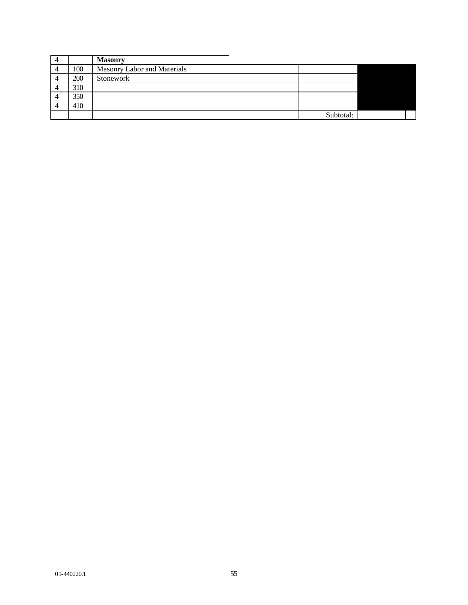|     | <b>Masonry</b>              |           |  |
|-----|-----------------------------|-----------|--|
| 100 | Masonry Labor and Materials |           |  |
| 200 | Stonework                   |           |  |
| 310 |                             |           |  |
| 350 |                             |           |  |
| 410 |                             |           |  |
|     |                             | Subtotal: |  |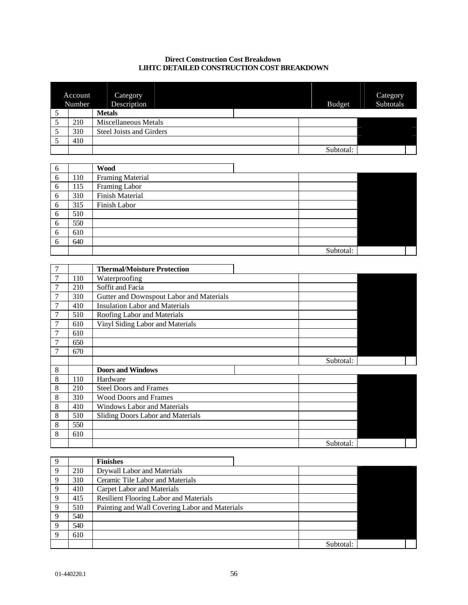#### **Direct Construction Cost Breakdown LIHTC DETAILED CONSTRUCTION COST BREAKDOWN**

|   | Account<br>Number | Category<br>Description         | <b>Budget</b> | Category<br>Subtotals |
|---|-------------------|---------------------------------|---------------|-----------------------|
| ◡ |                   | <b>Metals</b>                   |               |                       |
|   | 210               | Miscellaneous Metals            |               |                       |
|   | 310               | <b>Steel Joists and Girders</b> |               |                       |
|   | 410               |                                 |               |                       |
|   |                   |                                 | Subtotal:     |                       |

<u> 1980 - Johann Barbara, martxa alemaniar a</u>

| 6 |     | <b>Wood</b>             |           |  |
|---|-----|-------------------------|-----------|--|
| 6 | 110 | <b>Framing Material</b> |           |  |
| 6 | 115 | Framing Labor           |           |  |
| 6 | 310 | Finish Material         |           |  |
| 6 | 315 | Finish Labor            |           |  |
| 6 | 510 |                         |           |  |
| 6 | 550 |                         |           |  |
| 6 | 610 |                         |           |  |
| 6 | 640 |                         |           |  |
|   |     |                         | Subtotal: |  |

| 7              |     | <b>Thermal/Moisture Protection</b>       |           |  |
|----------------|-----|------------------------------------------|-----------|--|
| $\overline{7}$ | 110 | Waterproofing                            |           |  |
|                | 210 | Soffit and Facia                         |           |  |
| $\overline{7}$ | 310 | Gutter and Downspout Labor and Materials |           |  |
|                | 410 | <b>Insulation Labor and Materials</b>    |           |  |
| $\overline{7}$ | 510 | Roofing Labor and Materials              |           |  |
| 7              | 610 | Vinyl Siding Labor and Materials         |           |  |
| $\overline{7}$ | 610 |                                          |           |  |
| $\overline{7}$ | 650 |                                          |           |  |
|                | 670 |                                          |           |  |
|                |     |                                          | Subtotal: |  |
| 8              |     | <b>Doors and Windows</b>                 |           |  |
| 8              | 110 | Hardware                                 |           |  |
| 8              | 210 | <b>Steel Doors and Frames</b>            |           |  |
| 8              | 310 | <b>Wood Doors and Frames</b>             |           |  |
| 8              | 410 | <b>Windows Labor and Materials</b>       |           |  |
| 8              | 510 | Sliding Doors Labor and Materials        |           |  |
| 8              | 550 |                                          |           |  |
| 8              | 610 |                                          |           |  |
|                |     |                                          | Subtotal: |  |

| 9           |     | <b>Finishes</b>                                |           |  |
|-------------|-----|------------------------------------------------|-----------|--|
| 9           | 210 | Drywall Labor and Materials                    |           |  |
| 9           | 310 | Ceramic Tile Labor and Materials               |           |  |
| 9           | 410 | Carpet Labor and Materials                     |           |  |
| $\mathbf Q$ | 415 | <b>Resilient Flooring Labor and Materials</b>  |           |  |
| $\mathbf Q$ | 510 | Painting and Wall Covering Labor and Materials |           |  |
| 9           | 540 |                                                |           |  |
| 9           | 540 |                                                |           |  |
| 9           | 610 |                                                |           |  |
|             |     |                                                | Subtotal: |  |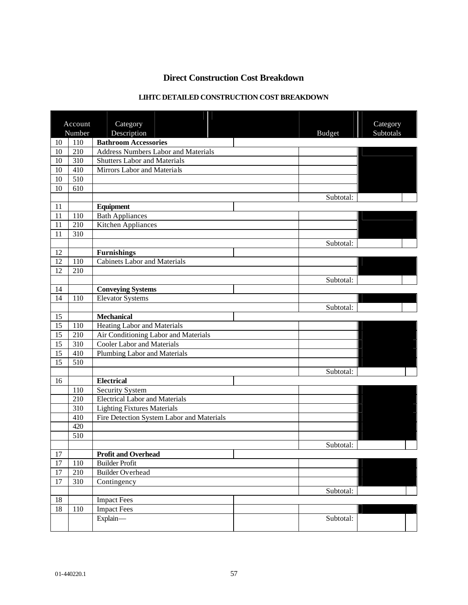# **Direct Construction Cost Breakdown**

# **LIHTC DETAILED CONSTRUCTION COST BREAKDOWN**

|        | Account | Category                                  |               | Category  |
|--------|---------|-------------------------------------------|---------------|-----------|
|        | Number  | Description                               | <b>Budget</b> | Subtotals |
| 10     | 110     | <b>Bathroom Accessories</b>               |               |           |
| 10     | 210     | Address Numbers Labor and Materials       |               |           |
| 10     | 310     | <b>Shutters Labor and Materials</b>       |               |           |
| 10     | 410     | Mirrors Labor and Materials               |               |           |
| 10     | 510     |                                           |               |           |
| 10     | 610     |                                           |               |           |
|        |         |                                           | Subtotal:     |           |
| 11     |         | Equipment                                 |               |           |
| 11     | 110     | <b>Bath Appliances</b>                    |               |           |
| 11     | 210     | Kitchen Appliances                        |               |           |
| 11     | 310     |                                           |               |           |
|        |         |                                           | Subtotal:     |           |
| 12     |         | <b>Furnishings</b>                        |               |           |
| 12     | 110     | <b>Cabinets Labor and Materials</b>       |               |           |
| 12     | 210     |                                           |               |           |
|        |         |                                           | Subtotal:     |           |
| 14     |         | <b>Conveying Systems</b>                  |               |           |
| 14     | 110     | <b>Elevator Systems</b>                   |               |           |
|        |         |                                           | Subtotal:     |           |
| 15     |         | <b>Mechanical</b>                         |               |           |
| 15     | 110     | Heating Labor and Materials               |               |           |
| 15     | 210     | Air Conditioning Labor and Materials      |               |           |
| 15     | 310     | <b>Cooler Labor and Materials</b>         |               |           |
| 15     | 410     | Plumbing Labor and Materials              |               |           |
| 15     | 510     |                                           |               |           |
|        |         |                                           | Subtotal:     |           |
| 16     |         | <b>Electrical</b>                         |               |           |
|        | 110     | <b>Security System</b>                    |               |           |
|        | 210     | <b>Electrical Labor and Materials</b>     |               |           |
|        | 310     | <b>Lighting Fixtures Materials</b>        |               |           |
|        | 410     | Fire Detection System Labor and Materials |               |           |
|        | 420     |                                           |               |           |
|        | 510     |                                           |               |           |
|        |         |                                           | Subtotal:     |           |
| 17     |         | <b>Profit and Overhead</b>                |               |           |
| $17\,$ | 110     | <b>Builder Profit</b>                     |               |           |
| $17\,$ | 210     | <b>Builder Overhead</b>                   |               |           |
| 17     | 310     | Contingency                               |               |           |
|        |         |                                           | Subtotal:     |           |
| 18     |         | <b>Impact Fees</b>                        |               |           |
| $18\,$ | 110     | <b>Impact Fees</b>                        |               |           |
|        |         | Explain-                                  | Subtotal:     |           |
|        |         |                                           |               |           |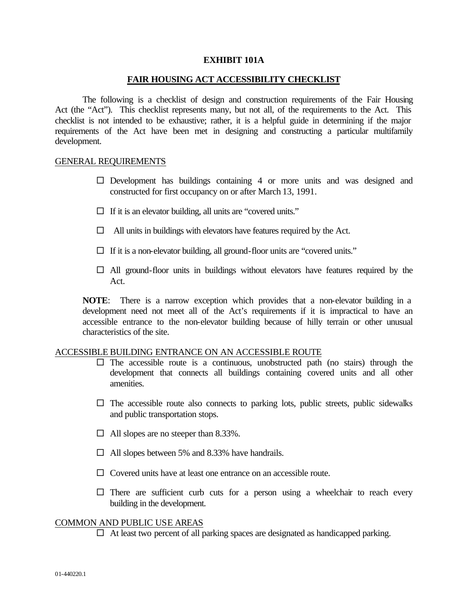#### **EXHIBIT 101A**

### **FAIR HOUSING ACT ACCESSIBILITY CHECKLIST**

The following is a checklist of design and construction requirements of the Fair Housing Act (the "Act"). This checklist represents many, but not all, of the requirements to the Act. This checklist is not intended to be exhaustive; rather, it is a helpful guide in determining if the major requirements of the Act have been met in designing and constructing a particular multifamily development.

#### GENERAL REQUIREMENTS

- $\square$  Development has buildings containing 4 or more units and was designed and constructed for first occupancy on or after March 13, 1991.
- $\Box$  If it is an elevator building, all units are "covered units."
- $\Box$  All units in buildings with elevators have features required by the Act.
- $\Box$  If it is a non-elevator building, all ground-floor units are "covered units."
- $\Box$  All ground-floor units in buildings without elevators have features required by the Act.

**NOTE**: There is a narrow exception which provides that a non-elevator building in a development need not meet all of the Act's requirements if it is impractical to have an accessible entrance to the non-elevator building because of hilly terrain or other unusual characteristics of the site.

### ACCESSIBLE BUILDING ENTRANCE ON AN ACCESSIBLE ROUTE

- $\square$  The accessible route is a continuous, unobstructed path (no stairs) through the development that connects all buildings containing covered units and all other amenities.
- $\square$  The accessible route also connects to parking lots, public streets, public sidewalks and public transportation stops.
- $\Box$  All slopes are no steeper than 8.33%.
- $\Box$  All slopes between 5% and 8.33% have handrails.
- $\Box$  Covered units have at least one entrance on an accessible route.
- $\square$  There are sufficient curb cuts for a person using a wheelchair to reach every building in the development.

### COMMON AND PUBLIC USE AREAS

 $\Box$  At least two percent of all parking spaces are designated as handicapped parking.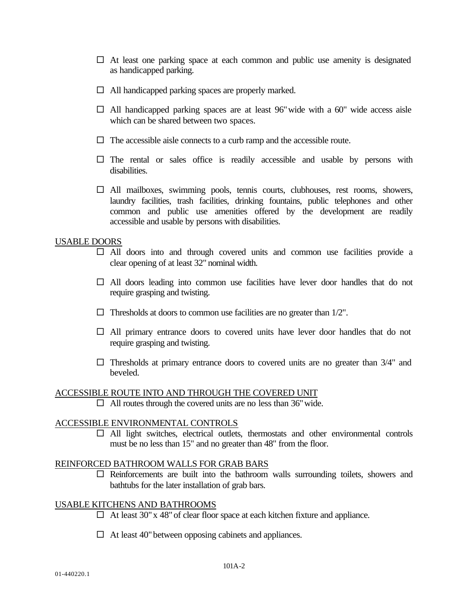- $\Box$  At least one parking space at each common and public use amenity is designated as handicapped parking.
- $\Box$  All handicapped parking spaces are properly marked.
- $\Box$  All handicapped parking spaces are at least 96" wide with a 60" wide access aisle which can be shared between two spaces.
- $\Box$  The accessible aisle connects to a curb ramp and the accessible route.
- $\square$  The rental or sales office is readily accessible and usable by persons with disabilities.
- $\Box$  All mailboxes, swimming pools, tennis courts, clubhouses, rest rooms, showers, laundry facilities, trash facilities, drinking fountains, public telephones and other common and public use amenities offered by the development are readily accessible and usable by persons with disabilities.

### USABLE DOORS

- $\Box$  All doors into and through covered units and common use facilities provide a clear opening of at least 32" nominal width.
- $\Box$  All doors leading into common use facilities have lever door handles that do not require grasping and twisting.
- $\Box$  Thresholds at doors to common use facilities are no greater than 1/2".
- $\Box$  All primary entrance doors to covered units have lever door handles that do not require grasping and twisting.
- $\Box$  Thresholds at primary entrance doors to covered units are no greater than 3/4" and beveled.

### ACCESSIBLE ROUTE INTO AND THROUGH THE COVERED UNIT

 $\Box$  All routes through the covered units are no less than 36" wide.

### ACCESSIBLE ENVIRONMENTAL CONTROLS

 $\Box$  All light switches, electrical outlets, thermostats and other environmental controls must be no less than 15" and no greater than 48" from the floor.

### REINFORCED BATHROOM WALLS FOR GRAB BARS

 $\square$  Reinforcements are built into the bathroom walls surrounding toilets, showers and bathtubs for the later installation of grab bars.

### USABLE KITCHENS AND BATHROOMS

- $\Box$  At least 30" x 48" of clear floor space at each kitchen fixture and appliance.
- $\Box$  At least 40" between opposing cabinets and appliances.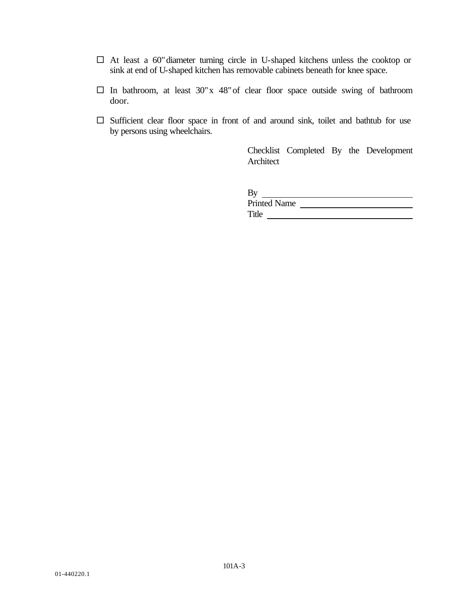- $\square$  At least a 60" diameter turning circle in U-shaped kitchens unless the cooktop or sink at end of U-shaped kitchen has removable cabinets beneath for knee space.
- $\square$  In bathroom, at least 30"x 48" of clear floor space outside swing of bathroom door.
- $\square$  Sufficient clear floor space in front of and around sink, toilet and bathtub for use by persons using wheelchairs.

Checklist Completed By the Development Architect

| By                  |  |
|---------------------|--|
| <b>Printed Name</b> |  |
| Title               |  |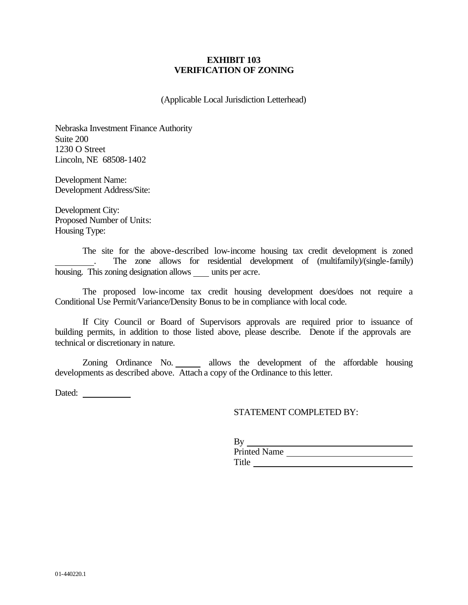### **EXHIBIT 103 VERIFICATION OF ZONING**

(Applicable Local Jurisdiction Letterhead)

Nebraska Investment Finance Authority Suite 200 1230 O Street Lincoln, NE 68508-1402

Development Name: Development Address/Site:

Development City: Proposed Number of Units: Housing Type:

The site for the above-described low-income housing tax credit development is zoned . The zone allows for residential development of (multifamily)/(single-family) housing. This zoning designation allows units per acre.

The proposed low-income tax credit housing development does/does not require a Conditional Use Permit/Variance/Density Bonus to be in compliance with local code.

If City Council or Board of Supervisors approvals are required prior to issuance of building permits, in addition to those listed above, please describe. Denote if the approvals are technical or discretionary in nature.

Zoning Ordinance No. allows the development of the affordable housing developments as described above. Attach a copy of the Ordinance to this letter.

Dated:

### STATEMENT COMPLETED BY:

| By                  |  |
|---------------------|--|
| <b>Printed Name</b> |  |
| Title               |  |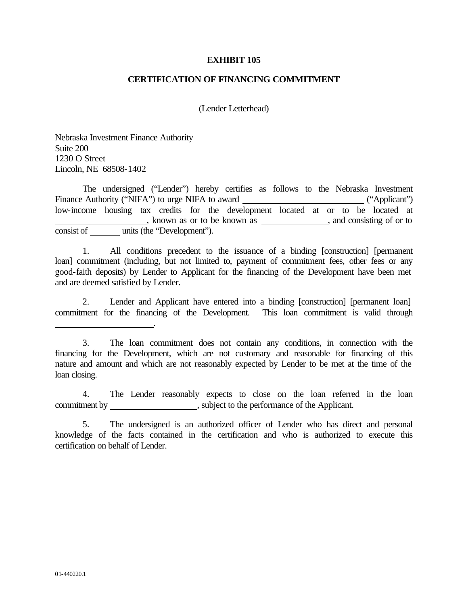#### **EXHIBIT 105**

#### **CERTIFICATION OF FINANCING COMMITMENT**

(Lender Letterhead)

Nebraska Investment Finance Authority Suite 200 1230 O Street Lincoln, NE 68508-1402

.

The undersigned ("Lender") hereby certifies as follows to the Nebraska Investment Finance Authority ("NIFA") to urge NIFA to award ("Applicant") low-income housing tax credits for the development located at or to be located at  $\frac{1}{\sqrt{1-\frac{1}{\sqrt{1-\frac{1}{\sqrt{1-\frac{1}{\sqrt{1-\frac{1}{\sqrt{1-\frac{1}{\sqrt{1-\frac{1}{\sqrt{1-\frac{1}{\sqrt{1-\frac{1}{\sqrt{1-\frac{1}{\sqrt{1-\frac{1}{\sqrt{1-\frac{1}{\sqrt{1-\frac{1}{\sqrt{1-\frac{1}{\sqrt{1-\frac{1}{\sqrt{1-\frac{1}{\sqrt{1-\frac{1}{\sqrt{1-\frac{1}{\sqrt{1-\frac{1}{\sqrt{1-\frac{1}{\sqrt{1-\frac{1}{\sqrt{1-\frac{1}{\sqrt{1-\frac{1}{\sqrt{1-\frac{1}{\sqrt{1-\frac{1$ consist of units (the "Development").

1. All conditions precedent to the issuance of a binding [construction] [permanent loan] commitment (including, but not limited to, payment of commitment fees, other fees or any good-faith deposits) by Lender to Applicant for the financing of the Development have been met and are deemed satisfied by Lender.

2. Lender and Applicant have entered into a binding [construction] [permanent loan] commitment for the financing of the Development. This loan commitment is valid through

4. The Lender reasonably expects to close on the loan referred in the loan commitment by \_\_\_\_\_\_\_\_\_\_\_\_\_\_\_\_\_\_\_\_\_\_\_, subject to the performance of the Applicant.

<sup>3.</sup> The loan commitment does not contain any conditions, in connection with the financing for the Development, which are not customary and reasonable for financing of this nature and amount and which are not reasonably expected by Lender to be met at the time of the loan closing.

<sup>5.</sup> The undersigned is an authorized officer of Lender who has direct and personal knowledge of the facts contained in the certification and who is authorized to execute this certification on behalf of Lender.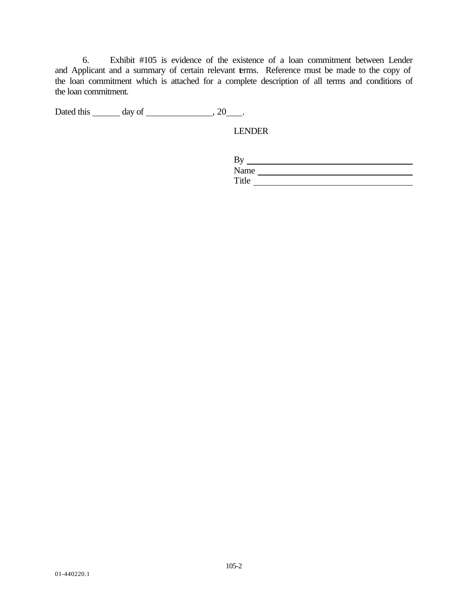6. Exhibit #105 is evidence of the existence of a loan commitment between Lender and Applicant and a summary of certain relevant terms. Reference must be made to the copy of the loan commitment which is attached for a complete description of all terms and conditions of the loan commitment.

Dated this  $\_\_\_\_$  day of  $\_\_\_\_\_\_$ , 20 $\_\_\_\_\$ .

LENDER

| Dν    |  |  |
|-------|--|--|
| Name  |  |  |
| Title |  |  |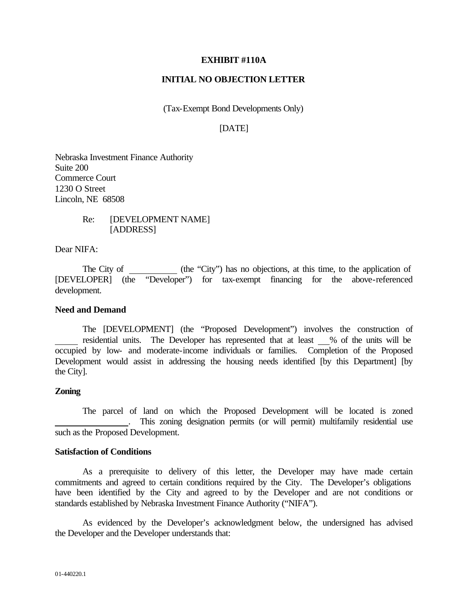#### **EXHIBIT #110A**

### **INITIAL NO OBJECTION LETTER**

(Tax-Exempt Bond Developments Only)

# [DATE]

Nebraska Investment Finance Authority Suite 200 Commerce Court 1230 O Street Lincoln, NE 68508

> Re: [DEVELOPMENT NAME] [ADDRESS]

Dear NIFA:

The City of (the "City") has no objections, at this time, to the application of [DEVELOPER] (the "Developer") for tax-exempt financing for the above-referenced development.

#### **Need and Demand**

The [DEVELOPMENT] (the "Proposed Development") involves the construction of residential units. The Developer has represented that at least % of the units will be occupied by low- and moderate-income individuals or families. Completion of the Proposed Development would assist in addressing the housing needs identified [by this Department] [by the City].

### **Zoning**

The parcel of land on which the Proposed Development will be located is zoned . This zoning designation permits (or will permit) multifamily residential use such as the Proposed Development.

#### **Satisfaction of Conditions**

As a prerequisite to delivery of this letter, the Developer may have made certain commitments and agreed to certain conditions required by the City. The Developer's obligations have been identified by the City and agreed to by the Developer and are not conditions or standards established by Nebraska Investment Finance Authority ("NIFA").

As evidenced by the Developer's acknowledgment below, the undersigned has advised the Developer and the Developer understands that: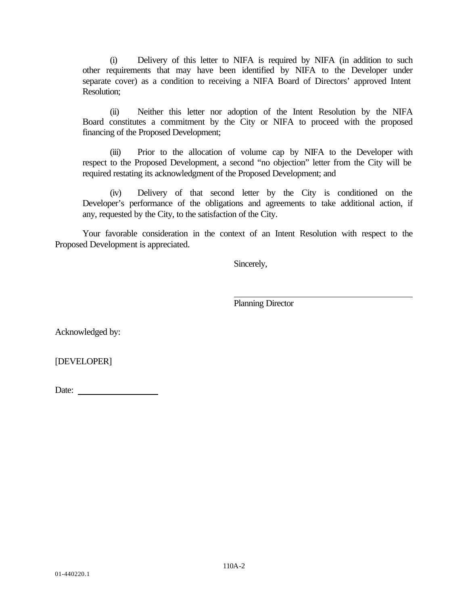(i) Delivery of this letter to NIFA is required by NIFA (in addition to such other requirements that may have been identified by NIFA to the Developer under separate cover) as a condition to receiving a NIFA Board of Directors' approved Intent Resolution;

(ii) Neither this letter nor adoption of the Intent Resolution by the NIFA Board constitutes a commitment by the City or NIFA to proceed with the proposed financing of the Proposed Development;

(iii) Prior to the allocation of volume cap by NIFA to the Developer with respect to the Proposed Development, a second "no objection" letter from the City will be required restating its acknowledgment of the Proposed Development; and

(iv) Delivery of that second letter by the City is conditioned on the Developer's performance of the obligations and agreements to take additional action, if any, requested by the City, to the satisfaction of the City.

Your favorable consideration in the context of an Intent Resolution with respect to the Proposed Development is appreciated.

Sincerely,

Planning Director

Acknowledged by:

[DEVELOPER]

Date: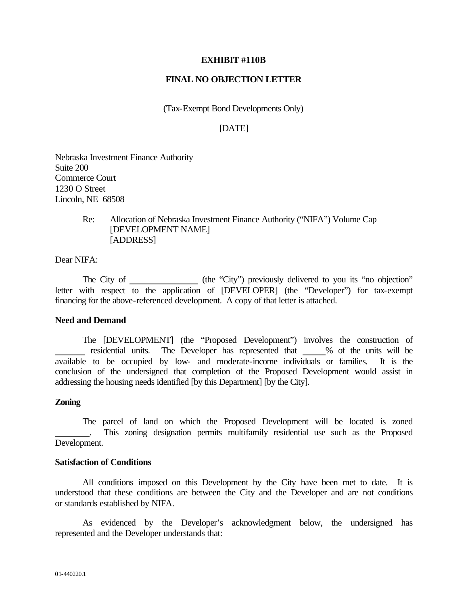#### **EXHIBIT #110B**

### **FINAL NO OBJECTION LETTER**

(Tax-Exempt Bond Developments Only)

## [DATE]

Nebraska Investment Finance Authority Suite 200 Commerce Court 1230 O Street Lincoln, NE 68508

> Re: Allocation of Nebraska Investment Finance Authority ("NIFA") Volume Cap [DEVELOPMENT NAME] [ADDRESS]

Dear NIFA:

The City of (the "City") previously delivered to you its "no objection" letter with respect to the application of [DEVELOPER] (the "Developer") for tax-exempt financing for the above-referenced development. A copy of that letter is attached.

#### **Need and Demand**

The [DEVELOPMENT] (the "Proposed Development") involves the construction of residential units. The Developer has represented that \_\_\_\_% of the units will be available to be occupied by low- and moderate-income individuals or families. It is the conclusion of the undersigned that completion of the Proposed Development would assist in addressing the housing needs identified [by this Department] [by the City].

#### **Zoning**

The parcel of land on which the Proposed Development will be located is zoned . This zoning designation permits multifamily residential use such as the Proposed Development.

#### **Satisfaction of Conditions**

All conditions imposed on this Development by the City have been met to date. It is understood that these conditions are between the City and the Developer and are not conditions or standards established by NIFA.

As evidenced by the Developer's acknowledgment below, the undersigned has represented and the Developer understands that: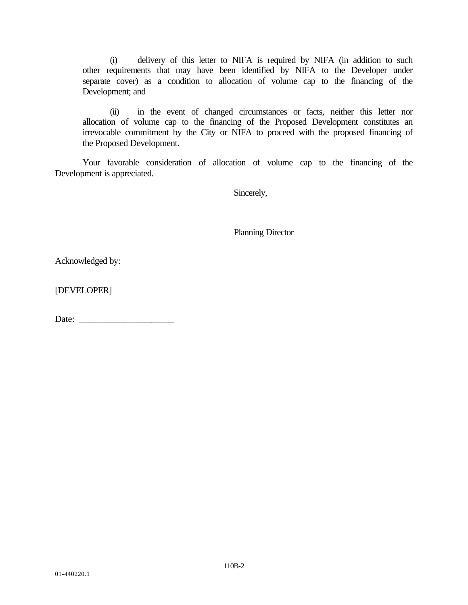(i) delivery of this letter to NIFA is required by NIFA (in addition to such other requirements that may have been identified by NIFA to the Developer under separate cover) as a condition to allocation of volume cap to the financing of the Development; and

(ii) in the event of changed circumstances or facts, neither this letter nor allocation of volume cap to the financing of the Proposed Development constitutes an irrevocable commitment by the City or NIFA to proceed with the proposed financing of the Proposed Development.

Your favorable consideration of allocation of volume cap to the financing of the Development is appreciated.

Sincerely,

Planning Director

Acknowledged by:

[DEVELOPER]

Date: \_\_\_\_\_\_\_\_\_\_\_\_\_\_\_\_\_\_\_\_\_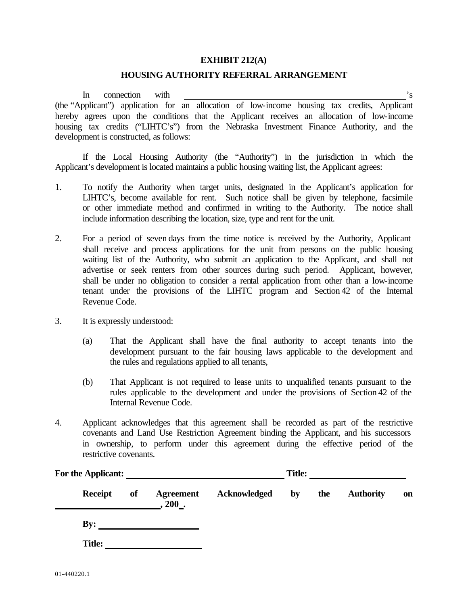#### **EXHIBIT 212(A)**

#### **HOUSING AUTHORITY REFERRAL ARRANGEMENT**

In connection with  $\frac{1}{s}$  is (the "Applicant") application for an allocation of low-income housing tax credits, Applicant hereby agrees upon the conditions that the Applicant receives an allocation of low-income housing tax credits ("LIHTC's") from the Nebraska Investment Finance Authority, and the development is constructed, as follows:

If the Local Housing Authority (the "Authority") in the jurisdiction in which the Applicant's development is located maintains a public housing waiting list, the Applicant agrees:

- 1. To notify the Authority when target units, designated in the Applicant's application for LIHTC's, become available for rent. Such notice shall be given by telephone, facsimile or other immediate method and confirmed in writing to the Authority. The notice shall include information describing the location, size, type and rent for the unit.
- 2. For a period of seven days from the time notice is received by the Authority, Applicant shall receive and process applications for the unit from persons on the public housing waiting list of the Authority, who submit an application to the Applicant, and shall not advertise or seek renters from other sources during such period. Applicant, however, shall be under no obligation to consider a rental application from other than a low-income tenant under the provisions of the LIHTC program and Section 42 of the Internal Revenue Code.
- 3. It is expressly understood:
	- (a) That the Applicant shall have the final authority to accept tenants into the development pursuant to the fair housing laws applicable to the development and the rules and regulations applied to all tenants,
	- (b) That Applicant is not required to lease units to unqualified tenants pursuant to the rules applicable to the development and under the provisions of Section 42 of the Internal Revenue Code.
- 4. Applicant acknowledges that this agreement shall be recorded as part of the restrictive covenants and Land Use Restriction Agreement binding the Applicant, and his successors in ownership, to perform under this agreement during the effective period of the restrictive covenants.

| For the Applicant: |    |                             |              | <b>Title:</b> |     |                  |    |
|--------------------|----|-----------------------------|--------------|---------------|-----|------------------|----|
| <b>Receipt</b>     | of | <b>Agreement</b><br>$200$ . | Acknowledged | by            | the | <b>Authority</b> | on |
| By:                |    |                             |              |               |     |                  |    |
| <b>Title:</b>      |    |                             |              |               |     |                  |    |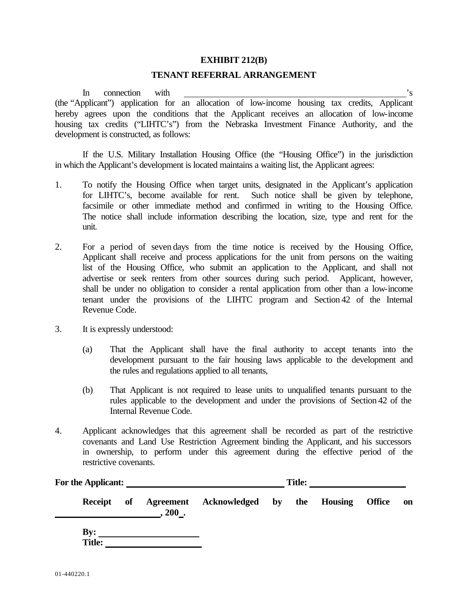#### **EXHIBIT 212(B)**

### **TENANT REFERRAL ARRANGEMENT**

In connection with  $\overline{\phantom{a}}$  is the set of  $\overline{\phantom{a}}$  is the set of  $\overline{\phantom{a}}$  is the set of  $\overline{\phantom{a}}$  is the set of  $\overline{\phantom{a}}$  is the set of  $\overline{\phantom{a}}$  is the set of  $\overline{\phantom{a}}$  is the set of  $\overline{\phantom{a}}$  is the se (the "Applicant") application for an allocation of low-income housing tax credits, Applicant hereby agrees upon the conditions that the Applicant receives an allocation of low-income housing tax credits ("LIHTC's") from the Nebraska Investment Finance Authority, and the development is constructed, as follows:

If the U.S. Military Installation Housing Office (the "Housing Office") in the jurisdiction in which the Applicant's development is located maintains a waiting list, the Applicant agrees:

- 1. To notify the Housing Office when target units, designated in the Applicant's application for LIHTC's, become available for rent. Such notice shall be given by telephone, facsimile or other immediate method and confirmed in writing to the Housing Office. The notice shall include information describing the location, size, type and rent for the unit.
- 2. For a period of seven days from the time notice is received by the Housing Office, Applicant shall receive and process applications for the unit from persons on the waiting list of the Housing Office, who submit an application to the Applicant, and shall not advertise or seek renters from other sources during such period. Applicant, however, shall be under no obligation to consider a rental application from other than a low-income tenant under the provisions of the LIHTC program and Section 42 of the Internal Revenue Code.
- 3. It is expressly understood:
	- (a) That the Applicant shall have the final authority to accept tenants into the development pursuant to the fair housing laws applicable to the development and the rules and regulations applied to all tenants,
	- (b) That Applicant is not required to lease units to unqualified tenants pursuant to the rules applicable to the development and under the provisions of Section 42 of the Internal Revenue Code.
- 4. Applicant acknowledges that this agreement shall be recorded as part of the restrictive covenants and Land Use Restriction Agreement binding the Applicant, and his successors in ownership, to perform under this agreement during the effective period of the restrictive covenants.

| For the Applicant: |    |          | <b>Title:</b>          |                        |     |                |               |           |
|--------------------|----|----------|------------------------|------------------------|-----|----------------|---------------|-----------|
| Receipt            | of | $.200$ . | Agreement Acknowledged | $\mathbf{b}\mathbf{v}$ | the | <b>Housing</b> | <b>Office</b> | <b>on</b> |

**By: Title:**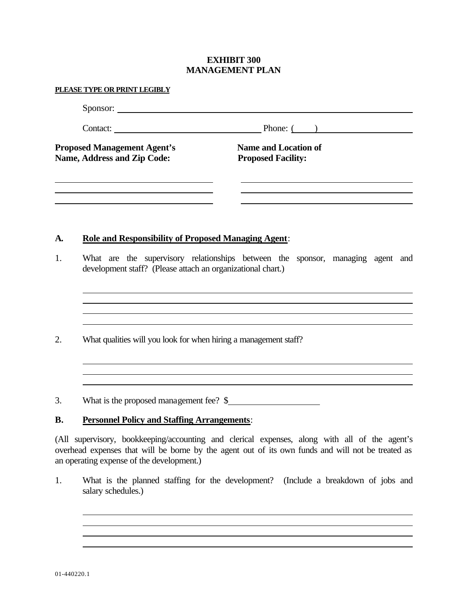### **EXHIBIT 300 MANAGEMENT PLAN**

|    | PLEASE TYPE OR PRINT LEGIBLY                                             |                                                                                |
|----|--------------------------------------------------------------------------|--------------------------------------------------------------------------------|
|    |                                                                          |                                                                                |
|    |                                                                          | Contact: Phone: ( )                                                            |
|    | <b>Proposed Management Agent's</b><br><b>Name, Address and Zip Code:</b> | <b>Name and Location of</b><br><b>Proposed Facility:</b>                       |
| A. | <b>Role and Responsibility of Proposed Managing Agent:</b>               |                                                                                |
| 1. | development staff? (Please attach an organizational chart.)              | What are the supervisory relationships between the sponsor, managing agent and |
| 2. | What qualities will you look for when hiring a management staff?         |                                                                                |
|    |                                                                          |                                                                                |

(All supervisory, bookkeeping/accounting and clerical expenses, along with all of the agent's overhead expenses that will be borne by the agent out of its own funds and will not be treated as an operating expense of the development.)

1. What is the planned staffing for the development? (Include a breakdown of jobs and salary schedules.)

<u> 1989 - Johann Stoff, amerikansk politiker (d. 1989)</u>

<u> 1989 - Johann Stoff, deutscher Stoffen und der Stoffen und der Stoffen und der Stoffen und der Stoffen und d</u>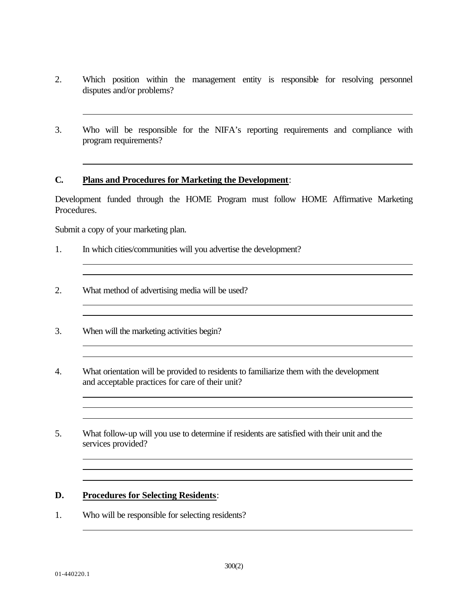- 2. Which position within the management entity is responsible for resolving personnel disputes and/or problems?
- 3. Who will be responsible for the NIFA's reporting requirements and compliance with program requirements?

### **C. Plans and Procedures for Marketing the Development**:

Development funded through the HOME Program must follow HOME Affirmative Marketing Procedures.

Submit a copy of your marketing plan.

- 1. In which cities/communities will you advertise the development?
- 2. What method of advertising media will be used?
- 3. When will the marketing activities begin?
- 4. What orientation will be provided to residents to familiarize them with the development and acceptable practices for care of their unit?

<u> 2008 - Jan Samuel Barbara, margaret eta biztanleria (h. 1878).</u>

5. What follow-up will you use to determine if residents are satisfied with their unit and the services provided?

### **D. Procedures for Selecting Residents**:

1. Who will be responsible for selecting residents?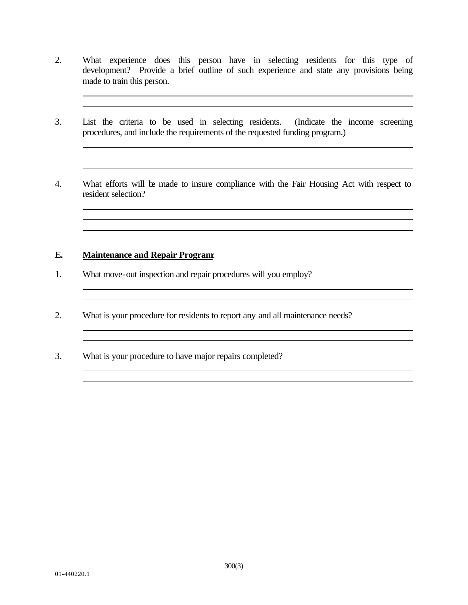2. What experience does this person have in selecting residents for this type of development? Provide a brief outline of such experience and state any provisions being made to train this person.

<u> 1989 - Johann Stoff, amerikansk politiker (d. 1989)</u>

- 3. List the criteria to be used in selecting residents. (Indicate the income screening procedures, and include the requirements of the requested funding program.)
- 4. What efforts will be made to insure compliance with the Fair Housing Act with respect to resident selection?

the control of the control of the control of the control of the control of the control of the control of the control of the control of the control of the control of the control of the control of the control of the control

<u> 1989 - Johann Stoff, deutscher Stoffen und der Stoffen und der Stoffen und der Stoffen und der Stoffen und d</u> 

<u> 1980 - Johann Stoff, deutscher Stoffen und der Stoffen und der Stoffen und der Stoffen und der Stoffen und d</u>

# **E. Maintenance and Repair Program**:

- 1. What move-out inspection and repair procedures will you employ?
- 2. What is your procedure for residents to report any and all maintenance needs?
- 3. What is your procedure to have major repairs completed?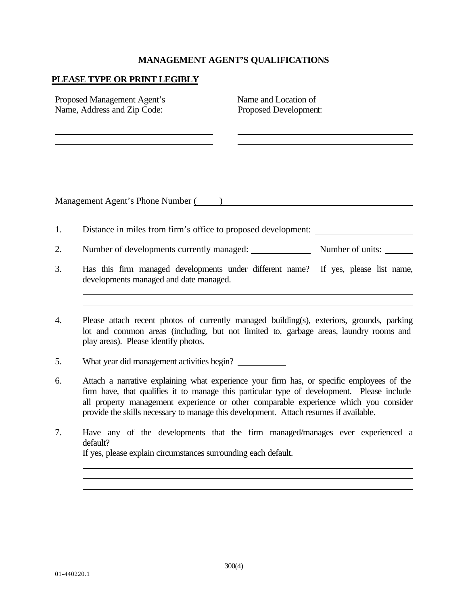#### **MANAGEMENT AGENT'S QUALIFICATIONS**

## **PLEASE TYPE OR PRINT LEGIBLY**

| Proposed Management Agent's<br>Name, Address and Zip Code: |                                                                                                                                                                                                                            | Name and Location of<br>Proposed Development: |  |
|------------------------------------------------------------|----------------------------------------------------------------------------------------------------------------------------------------------------------------------------------------------------------------------------|-----------------------------------------------|--|
|                                                            |                                                                                                                                                                                                                            |                                               |  |
|                                                            | Management Agent's Phone Number ()                                                                                                                                                                                         |                                               |  |
| 1.                                                         | Distance in miles from firm's office to proposed development:                                                                                                                                                              |                                               |  |
| 2.                                                         | Number of developments currently managed: Number of units:                                                                                                                                                                 |                                               |  |
| 3.                                                         | Has this firm managed developments under different name? If yes, please list name,<br>developments managed and date managed.                                                                                               |                                               |  |
|                                                            |                                                                                                                                                                                                                            |                                               |  |
| 4.                                                         | Please attach recent photos of currently managed building(s), exteriors, grounds, parking<br>lot and common areas (including, but not limited to, garbage areas, laundry rooms and<br>play areas). Please identify photos. |                                               |  |

- 5. What year did management activities begin?
- 6. Attach a narrative explaining what experience your firm has, or specific employees of the firm have, that qualifies it to manage this particular type of development. Please include all property management experience or other comparable experience which you consider provide the skills necessary to manage this development. Attach resumes if available.
- 7. Have any of the developments that the firm managed/manages ever experienced a default? If yes, please explain circumstances surrounding each default.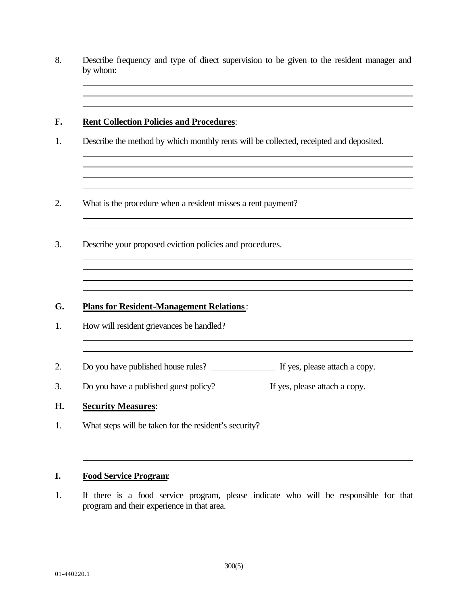8. Describe frequency and type of direct supervision to be given to the resident manager and by whom:

## **F. Rent Collection Policies and Procedures**:

1. Describe the method by which monthly rents will be collected, receipted and deposited.

and the control of the control of the control of the control of the control of the control of the control of the

- 2. What is the procedure when a resident misses a rent payment?
- 3. Describe your proposed eviction policies and procedures.

## **G. Plans for Resident-Management Relations**:

- 1. How will resident grievances be handled?
- 2. Do you have published house rules? If yes, please attach a copy.

3. Do you have a published guest policy? If yes, please attach a copy.

#### **H. Security Measures**:

1. What steps will be taken for the resident's security?

# **I. Food Service Program**:

1. If there is a food service program, please indicate who will be responsible for that program and their experience in that area.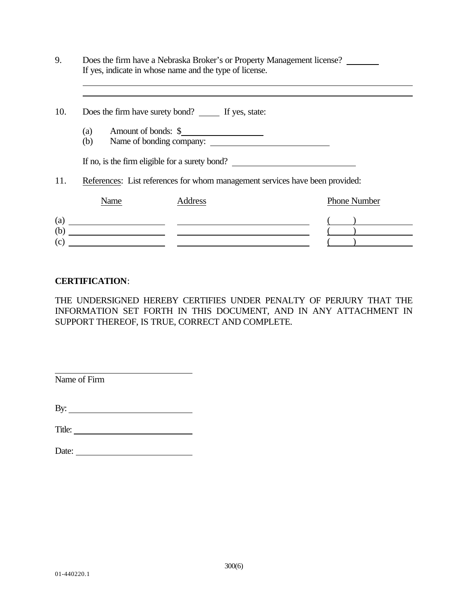| 9.  |                                                                              | Does the firm have a Nebraska Broker's or Property Management license?<br>If yes, indicate in whose name and the type of license. |                                                                                                                                                                                                                                                                                                                                                                                                                             |  |
|-----|------------------------------------------------------------------------------|-----------------------------------------------------------------------------------------------------------------------------------|-----------------------------------------------------------------------------------------------------------------------------------------------------------------------------------------------------------------------------------------------------------------------------------------------------------------------------------------------------------------------------------------------------------------------------|--|
| 10. |                                                                              | Does the firm have surety bond? If yes, state:                                                                                    |                                                                                                                                                                                                                                                                                                                                                                                                                             |  |
|     | (a)<br>(b)                                                                   | Amount of bonds: \$<br>Name of bonding company:                                                                                   |                                                                                                                                                                                                                                                                                                                                                                                                                             |  |
|     |                                                                              | If no, is the firm eligible for a surety bond?                                                                                    |                                                                                                                                                                                                                                                                                                                                                                                                                             |  |
| 11. | References: List references for whom management services have been provided: |                                                                                                                                   |                                                                                                                                                                                                                                                                                                                                                                                                                             |  |
|     | Name                                                                         | Address                                                                                                                           | <b>Phone Number</b>                                                                                                                                                                                                                                                                                                                                                                                                         |  |
| (c) |                                                                              | $\qquad \qquad \textbf{(a)} \qquad \qquad$<br>$\qquad \qquad \bullet$                                                             | $\begin{array}{ c c c c c }\hline \rule{0pt}{12pt} & & & \\\hline \rule{0pt}{12pt} & & & \\\hline \rule{0pt}{12pt} & & & \\\hline \rule{0pt}{12pt} & & & \\\hline \rule{0pt}{12pt} & & & \\\hline \rule{0pt}{12pt} & & & \\\hline \rule{0pt}{12pt} & & & \\\hline \rule{0pt}{12pt} & & & \\\hline \rule{0pt}{12pt} & & & \\\hline \rule{0pt}{12pt} & & & \\\hline \rule{0pt}{12pt} & & & \\\hline \rule{0pt}{12pt} & & & \$ |  |

# **CERTIFICATION**:

THE UNDERSIGNED HEREBY CERTIFIES UNDER PENALTY OF PERJURY THAT THE INFORMATION SET FORTH IN THIS DOCUMENT, AND IN ANY ATTACHMENT IN SUPPORT THEREOF, IS TRUE, CORRECT AND COMPLETE.

Name of Firm

By:

Title:

| Date: |  |
|-------|--|
|       |  |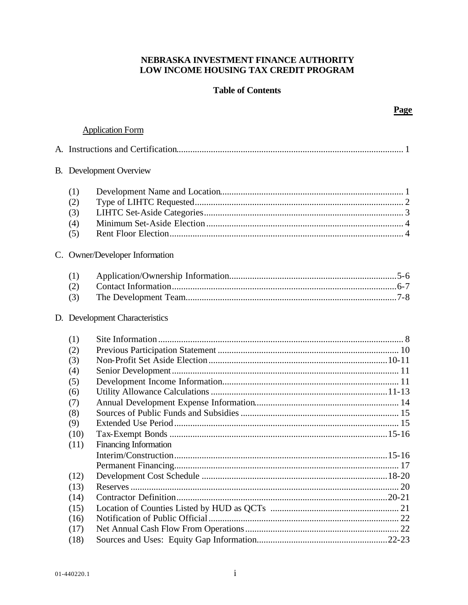# NEBRASKA INVESTMENT FINANCE AUTHORITY LOW INCOME HOUSING TAX CREDIT PROGRAM

# **Table of Contents**

# **Application Form**

|                                                      | <b>B.</b> Development Overview |  |  |
|------------------------------------------------------|--------------------------------|--|--|
| (1)<br>(2)<br>(3)<br>(4)<br>(5)                      |                                |  |  |
|                                                      | C. Owner/Developer Information |  |  |
| (1)<br>(2)<br>(3)                                    |                                |  |  |
| D. Development Characteristics                       |                                |  |  |
| (1)<br>(2)<br>(3)<br>(4)<br>(5)<br>(6)<br>(7)<br>(8) |                                |  |  |
| (9)<br>(10)<br>(11)                                  | Financing Information          |  |  |
| (12)<br>(13)<br>(14)<br>(15)<br>(16)<br>(17)<br>(18) |                                |  |  |